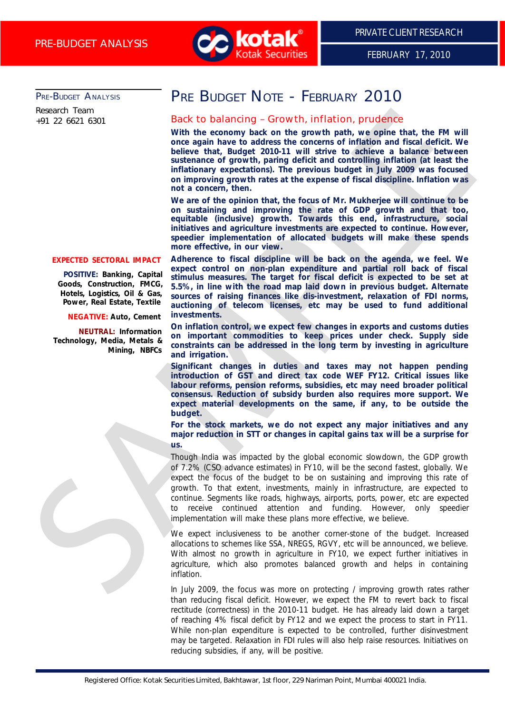

FEBRUARY 17, 2010

PRE-BUDGET ANALYSIS

Research Team +91 22 6621 6301

# PRE BUDGET NOTE - FEBRUARY 2010

## Back to balancing – Growth, inflation, prudence

**With the economy back on the growth path, we opine that, the FM will once again have to address the concerns of inflation and fiscal deficit. We believe that, Budget 2010-11 will strive to achieve a balance between sustenance of growth, paring deficit and controlling inflation (at least the inflationary expectations). The previous budget in July 2009 was focused on improving growth rates at the expense of fiscal discipline. Inflation was not a concern, then.**

**We are of the opinion that, the focus of Mr. Mukherjee will continue to be on sustaining and improving the rate of GDP growth and that too, equitable (inclusive) growth. Towards this end, infrastructure, social initiatives and agriculture investments are expected to continue. However, speedier implementation of allocated budgets will make these spends more effective, in our view.**

#### **EXPECTED SECTORAL IMPACT**

**POSITIVE: Banking, Capital Goods, Construction, FMCG, Hotels, Logistics, Oil & Gas, Power, Real Estate, Textile**

#### **NEGATIVE: Auto, Cement**

**NEUTRAL: Information Technology, Media, Metals &**

**Adherence to fiscal discipline will be back on the agenda, we feel. We expect control on non-plan expenditure and partial roll back of fiscal stimulus measures. The target for fiscal deficit is expected to be set at 5.5%, in line with the road map laid down in previous budget. Alternate sources of raising finances like dis-investment, relaxation of FDI norms, auctioning of telecom licenses, etc may be used to fund additional investments.**

**On inflation control, we expect few changes in exports and customs duties on important commodities to keep prices under check. Supply side constraints can be addressed in the long term by investing in agriculture and irrigation.**

**Significant changes in duties and taxes may not happen pending introduction of GST and direct tax code WEF FY12. Critical issues like labour reforms, pension reforms, subsidies, etc may need broader political consensus. Reduction of subsidy burden also requires more support. We expect material developments on the same, if any, to be outside the budget.**

**For the stock markets, we do not expect any major initiatives and any major reduction in STT or changes in capital gains tax will be a surprise for us.**

Though India was impacted by the global economic slowdown, the GDP growth of 7.2% (CSO advance estimates) in FY10, will be the second fastest, globally. We expect the focus of the budget to be on sustaining and improving this rate of growth. To that extent, investments, mainly in infrastructure, are expected to continue. Segments like roads, highways, airports, ports, power, etc are expected to receive continued attention and funding. However, only speedier implementation will make these plans more effective, we believe. Rowth Town in exchange Growth, inflation, prudence<br>
With the exchange Schwark on the growth pain was giving that, the fill will<br>
with the sometime of growth pain was giving that we give the the sometime<br>
was measured of pr

We expect inclusiveness to be another corner-stone of the budget. Increased allocations to schemes like SSA, NREGS, RGVY, etc will be announced, we believe. With almost no growth in agriculture in FY10, we expect further initiatives in agriculture, which also promotes balanced growth and helps in containing inflation.

In July 2009, the focus was more on protecting / improving growth rates rather than reducing fiscal deficit. However, we expect the FM to revert back to fiscal rectitude (correctness) in the 2010-11 budget. He has already laid down a target of reaching 4% fiscal deficit by FY12 and we expect the process to start in FY11. While non-plan expenditure is expected to be controlled, further disinvestment may be targeted. Relaxation in FDI rules will also help raise resources. Initiatives on reducing subsidies, if any, will be positive.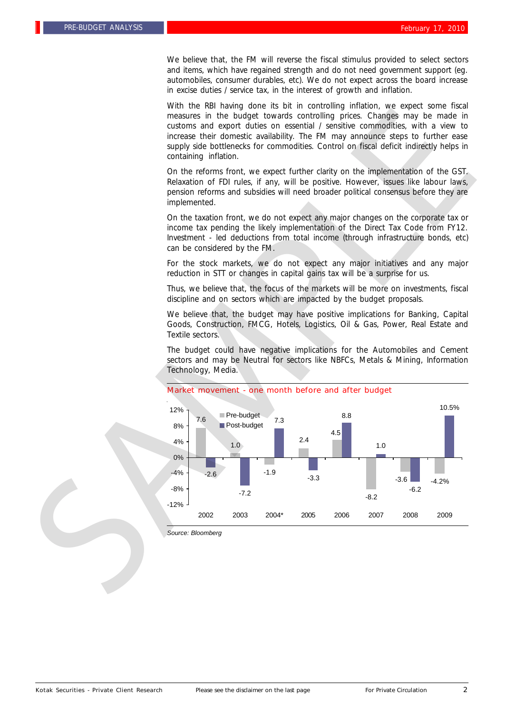We believe that, the FM will reverse the fiscal stimulus provided to select sectors and items, which have regained strength and do not need government support (eg. automobiles, consumer durables, etc). We do not expect across the board increase in excise duties / service tax, in the interest of growth and inflation.

With the RBI having done its bit in controlling inflation, we expect some fiscal measures in the budget towards controlling prices. Changes may be made in customs and export duties on essential / sensitive commodities, with a view to increase their domestic availability. The FM may announce steps to further ease supply side bottlenecks for commodities. Control on fiscal deficit indirectly helps in containing inflation.

On the reforms front, we expect further clarity on the implementation of the GST. Relaxation of FDI rules, if any, will be positive. However, issues like labour laws, pension reforms and subsidies will need broader political consensus before they are implemented.

On the taxation front, we do not expect any major changes on the corporate tax or income tax pending the likely implementation of the Direct Tax Code from FY12. Investment - led deductions from total income (through infrastructure bonds, etc) can be considered by the FM.

For the stock markets, we do not expect any major initiatives and any major reduction in STT or changes in capital gains tax will be a surprise for us.

Thus, we believe that, the focus of the markets will be more on investments, fiscal discipline and on sectors which are impacted by the budget proposals.

We believe that, the budget may have positive implications for Banking, Capital Goods, Construction, FMCG, Hotels, Logistics, Oil & Gas, Power, Real Estate and Textile sectors.

The budget could have negative implications for the Automobiles and Cement sectors and may be Neutral for sectors like NBFCs, Metals & Mining, Information Technology, Media.



#### Market movement - one month before and after budget

*Source: Bloomberg*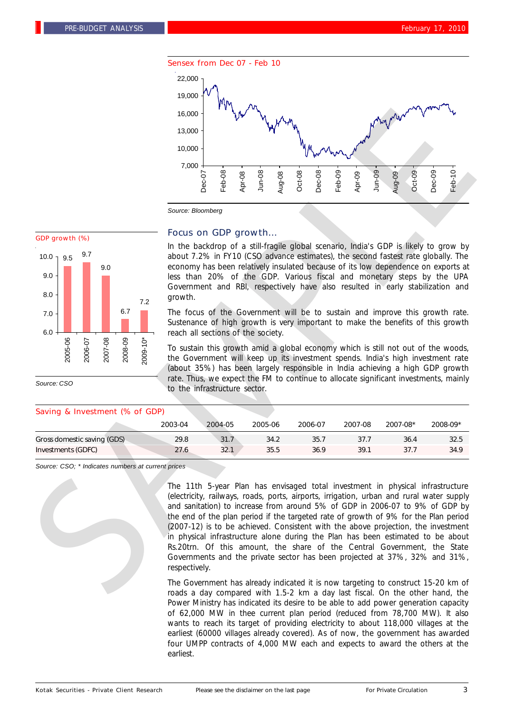



*Source: CSO*

#### Saving & Investment (% of GDP)

#### Focus on GDP growth…

In the backdrop of a still-fragile global scenario, India's GDP is likely to grow by about 7.2% in FY10 (CSO advance estimates), the second fastest rate globally. The economy has been relatively insulated because of its low dependence on exports at less than 20% of the GDP. Various fiscal and monetary steps by the UPA Government and RBI, respectively have also resulted in early stabilization and growth.

The focus of the Government will be to sustain and improve this growth rate. Sustenance of high growth is very important to make the benefits of this growth reach all sections of the society.

To sustain this growth amid a global economy which is still not out of the woods, the Government will keep up its investment spends. India's high investment rate (about 35%) has been largely responsible in India achieving a high GDP growth rate. Thus, we expect the FM to continue to allocate significant investments, mainly to the infrastructure sector.

| $\frac{1}{2}$ and $\frac{1}{2}$ and $\frac{1}{2}$ and $\frac{1}{2}$ and $\frac{1}{2}$ and $\frac{1}{2}$ and $\frac{1}{2}$ and $\frac{1}{2}$ and $\frac{1}{2}$ and $\frac{1}{2}$ and $\frac{1}{2}$ and $\frac{1}{2}$ and $\frac{1}{2}$ and $\frac{1}{2}$ and $\frac{1}{2}$ and $\frac{1}{2}$ a |         |         |         |         |         |          |          |
|-----------------------------------------------------------------------------------------------------------------------------------------------------------------------------------------------------------------------------------------------------------------------------------------------|---------|---------|---------|---------|---------|----------|----------|
|                                                                                                                                                                                                                                                                                               | 2003-04 | 2004-05 | 2005-06 | 2006-07 | 2007-08 | 2007-08* | 2008-09* |
| Gross domestic saving (GDS)                                                                                                                                                                                                                                                                   | 29.8    | 31.7    | 34.2    | 35.7    | 37.7    | 36.4     | 32.5     |
| Investments (GDFC)                                                                                                                                                                                                                                                                            | 27.6    | 32.1    | 35.5    | 36.9    | 39.1    | 37.7     | 34.9     |
|                                                                                                                                                                                                                                                                                               |         |         |         |         |         |          |          |

*Source: CSO; \* Indicates numbers at current prices*

The 11th 5-year Plan has envisaged total investment in physical infrastructure (electricity, railways, roads, ports, airports, irrigation, urban and rural water supply and sanitation) to increase from around 5% of GDP in 2006-07 to 9% of GDP by the end of the plan period if the targeted rate of growth of 9% for the Plan period (2007-12) is to be achieved. Consistent with the above projection, the investment in physical infrastructure alone during the Plan has been estimated to be about Rs.20trn. Of this amount, the share of the Central Government, the State Governments and the private sector has been projected at 37%, 32% and 31%, respectively.

The Government has already indicated it is now targeting to construct 15-20 km of roads a day compared with 1.5-2 km a day last fiscal. On the other hand, the Power Ministry has indicated its desire to be able to add power generation capacity of 62,000 MW in thee current plan period (reduced from 78,700 MW). It also wants to reach its target of providing electricity to about 118,000 villages at the earliest (60000 villages already covered). As of now, the government has awarded four UMPP contracts of 4,000 MW each and expects to award the others at the earliest.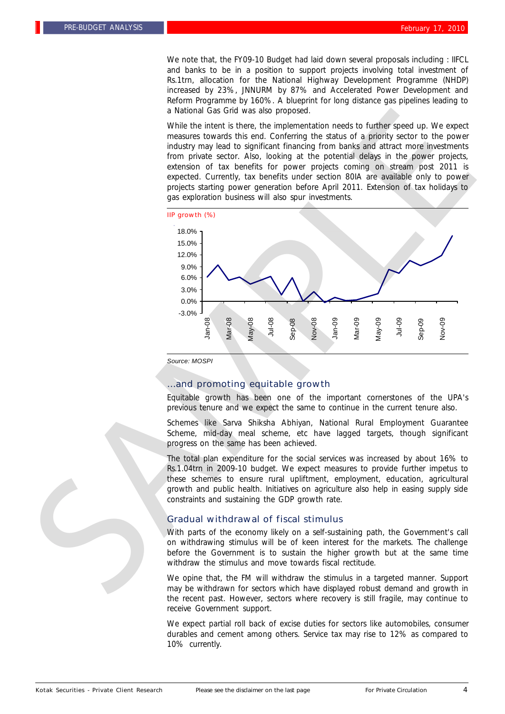We note that, the FY09-10 Budget had laid down several proposals including : IIFCL and banks to be in a position to support projects involving total investment of Rs.1trn, allocation for the National Highway Development Programme (NHDP) increased by 23%, JNNURM by 87% and Accelerated Power Development and Reform Programme by 160%. A blueprint for long distance gas pipelines leading to a National Gas Grid was also proposed.

While the intent is there, the implementation needs to further speed up. We expect measures towards this end. Conferring the status of a priority sector to the power industry may lead to significant financing from banks and attract more investments from private sector. Also, looking at the potential delays in the power projects, extension of tax benefits for power projects coming on stream post 2011 is expected. Currently, tax benefits under section 80IA are available only to power projects starting power generation before April 2011. Extension of tax holidays to gas exploration business will also spur investments.



*Source: MOSPI*

## …and promoting equitable growth

Equitable growth has been one of the important cornerstones of the UPA's previous tenure and we expect the same to continue in the current tenure also.

Schemes like Sarva Shiksha Abhiyan, National Rural Employment Guarantee Scheme, mid-day meal scheme, etc have lagged targets, though significant progress on the same has been achieved.

The total plan expenditure for the social services was increased by about 16% to Rs.1.04trn in 2009-10 budget. We expect measures to provide further impetus to these schemes to ensure rural upliftment, employment, education, agricultural growth and public health. Initiatives on agriculture also help in easing supply side constraints and sustaining the GDP growth rate.

#### Gradual withdrawal of fiscal stimulus

With parts of the economy likely on a self-sustaining path, the Government's call on withdrawing stimulus will be of keen interest for the markets. The challenge before the Government is to sustain the higher growth but at the same time withdraw the stimulus and move towards fiscal rectitude.

We opine that, the FM will withdraw the stimulus in a targeted manner. Support may be withdrawn for sectors which have displayed robust demand and growth in the recent past. However, sectors where recovery is still fragile, may continue to receive Government support.

We expect partial roll back of excise duties for sectors like automobiles, consumer durables and cement among others. Service tax may rise to 12% as compared to 10% currently.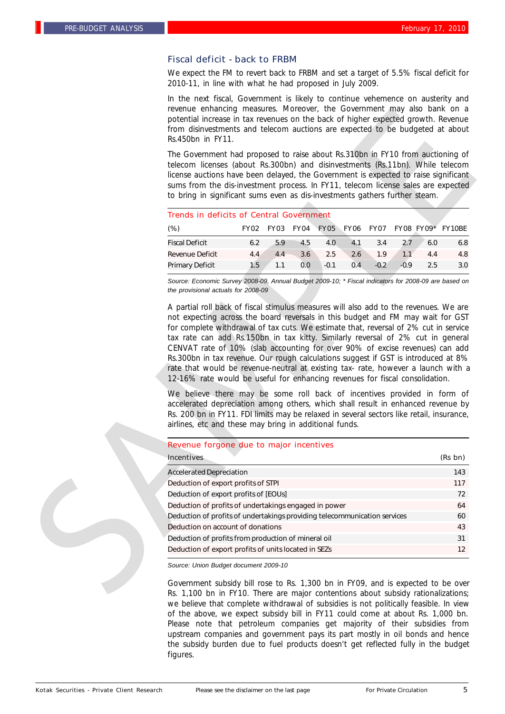## Fiscal deficit - back to FRBM

We expect the FM to revert back to FRBM and set a target of 5.5% fiscal deficit for 2010-11, in line with what he had proposed in July 2009.

In the next fiscal, Government is likely to continue vehemence on austerity and revenue enhancing measures. Moreover, the Government may also bank on a potential increase in tax revenues on the back of higher expected growth. Revenue from disinvestments and telecom auctions are expected to be budgeted at about Rs.450bn in FY11.

| <b>Trends in deficits of Central Government</b> |      |             |     |        |     |         |        |     |                                       |
|-------------------------------------------------|------|-------------|-----|--------|-----|---------|--------|-----|---------------------------------------|
| $(\%)$                                          | FY02 | <b>FY03</b> |     |        |     |         |        |     | FY04 FY05 FY06 FY07 FY08 FY09* FY10BE |
| <b>Fiscal Deficit</b>                           | 6.2  | 5.9         | 4.5 | 4.0    | 4.1 | 3.4     | 2.7    | 6.0 | 6.8                                   |
| Revenue Deficit                                 | 4.4  | 4.4         | 3.6 | 2.5    | 2.6 | 1.9     | 1.1    | 4.4 | 4.8                                   |
| Primary Deficit                                 | 1.5  | 1.1         | 0.0 | $-0.1$ | 0.4 | $-0.27$ | $-0.9$ | 25  | 3.0                                   |

#### Revenue forgone due to major incentives

| Rs.450bn in FY11.                                                                                                                                                                                                                                                                                                                                                                                                                                                                                                                                                                                                                                             |     |                     |     |        |     |        |        |     | from disinvestments and telecom auctions are expected to be budgeted at about |
|---------------------------------------------------------------------------------------------------------------------------------------------------------------------------------------------------------------------------------------------------------------------------------------------------------------------------------------------------------------------------------------------------------------------------------------------------------------------------------------------------------------------------------------------------------------------------------------------------------------------------------------------------------------|-----|---------------------|-----|--------|-----|--------|--------|-----|-------------------------------------------------------------------------------|
| The Government had proposed to raise about Rs.310bn in FY10 from auctioning of<br>telecom licenses (about Rs.300bn) and disinvestments (Rs.11bn). While telecom<br>license auctions have been delayed, the Government is expected to raise significant<br>sums from the dis-investment process. In FY11, telecom license sales are expected<br>to bring in significant sums even as dis-investments gathers further steam.                                                                                                                                                                                                                                    |     |                     |     |        |     |        |        |     |                                                                               |
| <b>Trends in deficits of Central Government</b>                                                                                                                                                                                                                                                                                                                                                                                                                                                                                                                                                                                                               |     |                     |     |        |     |        |        |     |                                                                               |
| $(\%)$                                                                                                                                                                                                                                                                                                                                                                                                                                                                                                                                                                                                                                                        |     | FY02 FY03 FY04 FY05 |     |        |     |        |        |     | FY06 FY07 FY08 FY09* FY10BE                                                   |
| <b>Fiscal Deficit</b>                                                                                                                                                                                                                                                                                                                                                                                                                                                                                                                                                                                                                                         | 6.2 | 5.9                 | 4.5 | 4.0    | 4.1 | 3.4    | 2.7    | 6.0 | 6.8                                                                           |
| <b>Revenue Deficit</b>                                                                                                                                                                                                                                                                                                                                                                                                                                                                                                                                                                                                                                        | 4.4 | 4.4                 | 3.6 | 2.5    | 2.6 | 1.9    | 1.1    | 4.4 | 4.8                                                                           |
| Primary Deficit                                                                                                                                                                                                                                                                                                                                                                                                                                                                                                                                                                                                                                               | 1.5 | 1.1                 | 0.0 | $-0.1$ | 0.4 | $-0.2$ | $-0.9$ | 2.5 | 3.0                                                                           |
| the provisional actuals for 2008-09<br>A partial roll back of fiscal stimulus measures will also add to the revenues. We are<br>not expecting across the board reversals in this budget and FM may wait for GST<br>for complete withdrawal of tax cuts. We estimate that, reversal of 2% cut in service<br>tax rate can add Rs.150bn in tax kitty. Similarly reversal of 2% cut in general                                                                                                                                                                                                                                                                    |     |                     |     |        |     |        |        |     |                                                                               |
| CENVAT rate of 10% (slab accounting for over 90% of excise revenues) can add<br>Rs.300bn in tax revenue. Our rough calculations suggest if GST is introduced at 8%<br>rate that would be revenue-neutral at existing tax- rate, however a launch with a<br>12-16% rate would be useful for enhancing revenues for fiscal consolidation.<br>We believe there may be some roll back of incentives provided in form of<br>accelerated depreciation among others, which shall result in enhanced revenue by<br>Rs. 200 bn in FY11. FDI limits may be relaxed in several sectors like retail, insurance,<br>airlines, etc and these may bring in additional funds. |     |                     |     |        |     |        |        |     |                                                                               |
| Revenue forgone due to major incentives                                                                                                                                                                                                                                                                                                                                                                                                                                                                                                                                                                                                                       |     |                     |     |        |     |        |        |     |                                                                               |
| <b>Incentives</b>                                                                                                                                                                                                                                                                                                                                                                                                                                                                                                                                                                                                                                             |     |                     |     |        |     |        |        |     | (Rs bn)                                                                       |
| <b>Accelerated Depreciation</b>                                                                                                                                                                                                                                                                                                                                                                                                                                                                                                                                                                                                                               |     |                     |     |        |     |        |        |     | 143                                                                           |
| Deduction of export profits of STPI                                                                                                                                                                                                                                                                                                                                                                                                                                                                                                                                                                                                                           |     |                     |     |        |     |        |        |     | 117                                                                           |
| Deduction of export profits of [EOUs]                                                                                                                                                                                                                                                                                                                                                                                                                                                                                                                                                                                                                         |     |                     |     |        |     |        |        |     | 72                                                                            |
| Deduction of profits of undertakings engaged in power                                                                                                                                                                                                                                                                                                                                                                                                                                                                                                                                                                                                         |     |                     |     |        |     |        |        |     | 64                                                                            |
| Deduction of profits of undertakings providing telecommunication services                                                                                                                                                                                                                                                                                                                                                                                                                                                                                                                                                                                     |     |                     |     |        |     |        |        |     | 60                                                                            |
| Deduction on account of donations                                                                                                                                                                                                                                                                                                                                                                                                                                                                                                                                                                                                                             |     |                     |     |        |     |        |        |     | 43                                                                            |
| Deduction of profits from production of mineral oil                                                                                                                                                                                                                                                                                                                                                                                                                                                                                                                                                                                                           |     |                     |     |        |     |        |        |     | 31                                                                            |
| Deduction of export profits of units located in SEZs                                                                                                                                                                                                                                                                                                                                                                                                                                                                                                                                                                                                          |     |                     |     |        |     |        |        |     | 12                                                                            |

Government subsidy bill rose to Rs. 1,300 bn in FY09, and is expected to be over Rs. 1,100 bn in FY10. There are major contentions about subsidy rationalizations; we believe that complete withdrawal of subsidies is not politically feasible. In view of the above, we expect subsidy bill in FY11 could come at about Rs. 1,000 bn. Please note that petroleum companies get majority of their subsidies from upstream companies and government pays its part mostly in oil bonds and hence the subsidy burden due to fuel products doesn't get reflected fully in the budget figures.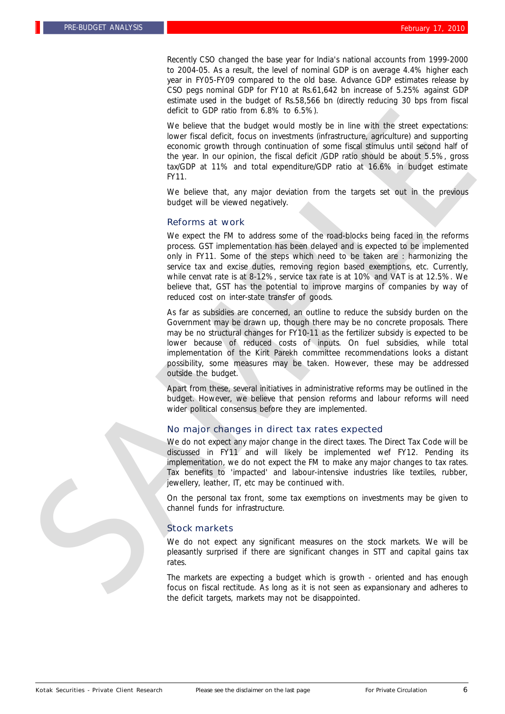Recently CSO changed the base year for India's national accounts from 1999-2000 to 2004-05. As a result, the level of nominal GDP is on average 4.4% higher each year in FY05-FY09 compared to the old base. Advance GDP estimates release by CSO pegs nominal GDP for FY10 at Rs.61,642 bn increase of 5.25% against GDP estimate used in the budget of Rs.58,566 bn (directly reducing 30 bps from fiscal deficit to GDP ratio from 6.8% to 6.5%).

We believe that the budget would mostly be in line with the street expectations: lower fiscal deficit, focus on investments (infrastructure, agriculture) and supporting economic growth through continuation of some fiscal stimulus until second half of the year. In our opinion, the fiscal deficit /GDP ratio should be about 5.5%, gross tax/GDP at 11% and total expenditure/GDP ratio at 16.6% in budget estimate FY11.

We believe that, any major deviation from the targets set out in the previous budget will be viewed negatively.

#### Reforms at work

We expect the FM to address some of the road-blocks being faced in the reforms process. GST implementation has been delayed and is expected to be implemented only in FY11. Some of the steps which need to be taken are : harmonizing the service tax and excise duties, removing region based exemptions, etc. Currently, while cenvat rate is at 8-12%, service tax rate is at 10% and VAT is at 12.5%. We believe that, GST has the potential to improve margins of companies by way of reduced cost on inter-state transfer of goods.

As far as subsidies are concerned, an outline to reduce the subsidy burden on the Government may be drawn up, though there may be no concrete proposals. There may be no structural changes for FY10-11 as the fertilizer subsidy is expected to be lower because of reduced costs of inputs. On fuel subsidies, while total implementation of the Kirit Parekh committee recommendations looks a distant possibility, some measures may be taken. However, these may be addressed outside the budget. deficit to OFF with the Constraints (SAMPLE of the Constraints (SAMPLE of the Constraints of the Constraints (SAMPLE of the Constraints (SAMPLE of the Constraints) and advantation of the painting of the Constraints (SAMPL

Apart from these, several initiatives in administrative reforms may be outlined in the budget. However, we believe that pension reforms and labour reforms will need wider political consensus before they are implemented.

#### No major changes in direct tax rates expected

We do not expect any major change in the direct taxes. The Direct Tax Code will be discussed in FY11 and will likely be implemented wef FY12. Pending its implementation, we do not expect the FM to make any major changes to tax rates. Tax benefits to 'impacted' and labour-intensive industries like textiles, rubber, jewellery, leather, IT, etc may be continued with.

On the personal tax front, some tax exemptions on investments may be given to channel funds for infrastructure.

#### Stock markets

We do not expect any significant measures on the stock markets. We will be pleasantly surprised if there are significant changes in STT and capital gains tax rates.

The markets are expecting a budget which is growth - oriented and has enough the deficit targets, markets may not be disappointed.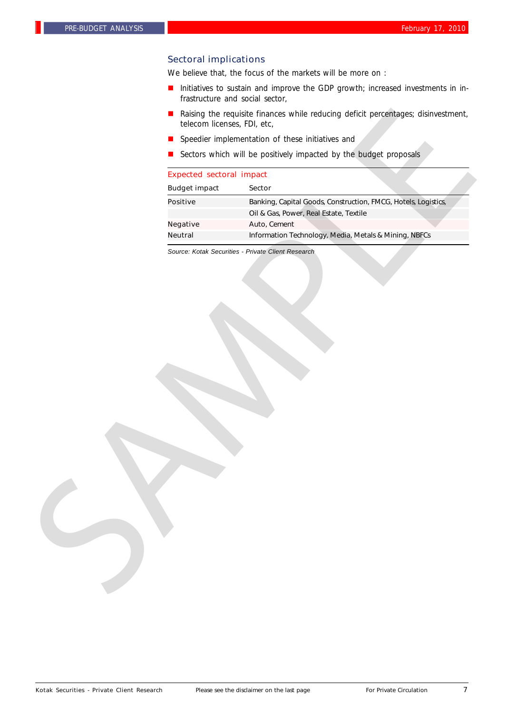## Sectoral implications

We believe that, the focus of the markets will be more on :

- Initiatives to sustain and improve the GDP growth; increased investments in infrastructure and social sector,
- Raising the requisite finances while reducing deficit percentages; disinvestment, telecom licenses, FDI, etc,
- **n** Speedier implementation of these initiatives and
- Sectors which will be positively impacted by the budget proposals

| ш<br>telecom licenses, FDI, etc, | Raising the requisite finances while reducing deficit percentages; disinvestment, |
|----------------------------------|-----------------------------------------------------------------------------------|
| ш                                | Speedier implementation of these initiatives and                                  |
|                                  | Sectors which will be positively impacted by the budget proposals                 |
| <b>Expected sectoral impact</b>  |                                                                                   |
| <b>Budget impact</b>             | Sector                                                                            |
| <b>Positive</b>                  | Banking, Capital Goods, Construction, FMCG, Hotels, Logistics,                    |
|                                  | Oil & Gas, Power, Real Estate, Textile                                            |
| <b>Negative</b>                  | Auto, Cement                                                                      |
| <b>Neutral</b>                   | Information Technology, Media, Metals & Mining, NBFCs                             |
|                                  | Source: Kotak Securities - Private Client Research                                |
|                                  |                                                                                   |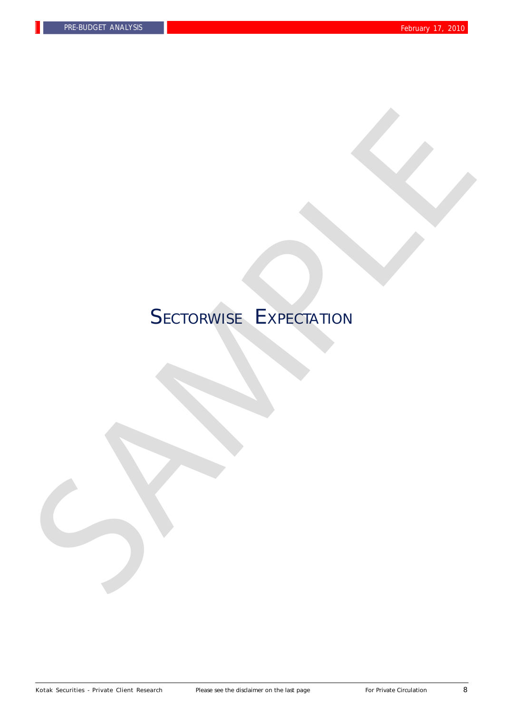# SECTORWISE EXPECTATION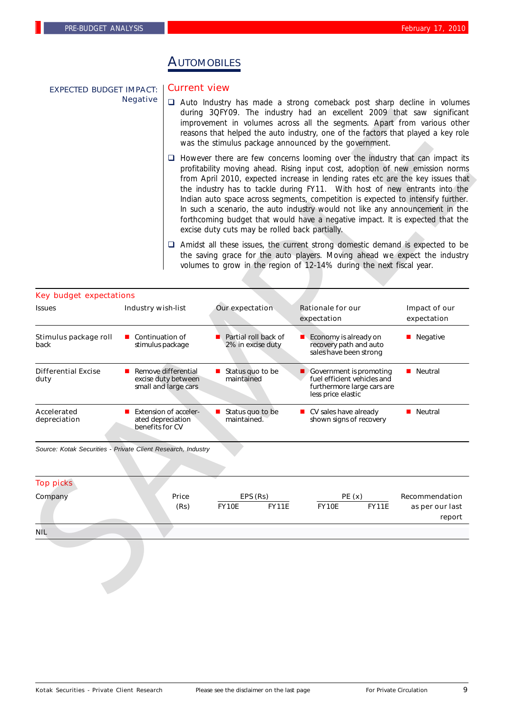EXPECTED BUDGET IMPACT:

Negative

# **AUTOMOBILES**

## Current view

- $\Box$  Auto Industry has made a strong comeback post sharp decline in volumes during 3QFY09. The industry had an excellent 2009 that saw significant improvement in volumes across all the segments. Apart from various other reasons that helped the auto industry, one of the factors that played a key role was the stimulus package announced by the government.
- $\Box$  However there are few concerns looming over the industry that can impact its profitability moving ahead. Rising input cost, adoption of new emission norms from April 2010, expected increase in lending rates etc are the key issues that the industry has to tackle during FY11. With host of new entrants into the Indian auto space across segments, competition is expected to intensify further. In such a scenario, the auto industry would not like any announcement in the forthcoming budget that would have a negative impact. It is expected that the excise duty cuts may be rolled back partially.
- $\Box$  Amidst all these issues, the current strong domestic demand is expected to be the saving grace for the auto players. Moving ahead we expect the industry volumes to grow in the region of 12-14% during the next fiscal year.

|                                                              |                                                                      |                                                | during 3QFY09. The industry had an excellent 2009 that saw significant<br>improvement in volumes across all the segments. Apart from various other<br>reasons that helped the auto industry, one of the factors that played a key role<br>was the stimulus package announced by the government.                                                                                                                                                                                                                                                                                            |                                             |
|--------------------------------------------------------------|----------------------------------------------------------------------|------------------------------------------------|--------------------------------------------------------------------------------------------------------------------------------------------------------------------------------------------------------------------------------------------------------------------------------------------------------------------------------------------------------------------------------------------------------------------------------------------------------------------------------------------------------------------------------------------------------------------------------------------|---------------------------------------------|
|                                                              |                                                                      | excise duty cuts may be rolled back partially. | $\Box$ However there are few concerns looming over the industry that can impact its<br>profitability moving ahead. Rising input cost, adoption of new emission norms<br>from April 2010, expected increase in lending rates etc are the key issues that<br>the industry has to tackle during FY11. With host of new entrants into the<br>Indian auto space across segments, competition is expected to intensify further.<br>In such a scenario, the auto industry would not like any announcement in the<br>forthcoming budget that would have a negative impact. It is expected that the |                                             |
|                                                              |                                                                      |                                                | $\Box$ Amidst all these issues, the current strong domestic demand is expected to be<br>the saving grace for the auto players. Moving ahead we expect the industry<br>volumes to grow in the region of 12-14% during the next fiscal year.                                                                                                                                                                                                                                                                                                                                                 |                                             |
| <b>Key budget expectations</b>                               |                                                                      |                                                |                                                                                                                                                                                                                                                                                                                                                                                                                                                                                                                                                                                            |                                             |
| <b>Issues</b>                                                | <b>Industry wish-list</b>                                            | Our expectation                                | <b>Rationale for our</b><br>expectation                                                                                                                                                                                                                                                                                                                                                                                                                                                                                                                                                    | Impact of our<br>expectation                |
| Stimulus package roll<br>back                                | ■ Continuation of<br>stimulus package                                | Partial roll back of<br>2% in excise duty      | Economy is already on<br>recovery path and auto<br>sales have been strong                                                                                                                                                                                                                                                                                                                                                                                                                                                                                                                  | <b>Negative</b>                             |
| <b>Differential Excise</b><br>duty                           | Remove differential<br>excise duty between<br>small and large cars   | Status quo to be<br>maintained                 | Government is promoting<br>fuel efficient vehicles and<br>furthermore large cars are<br>less price elastic                                                                                                                                                                                                                                                                                                                                                                                                                                                                                 | <b>Neutral</b>                              |
| Accelerated<br>depreciation                                  | <b>Extension of acceler-</b><br>ated depreciation<br>benefits for CV | Status quo to be<br>maintained.                | $\blacksquare$ CV sales have already<br>shown signs of recovery                                                                                                                                                                                                                                                                                                                                                                                                                                                                                                                            | <b>Neutral</b>                              |
| Source: Kotak Securities - Private Client Research, Industry |                                                                      |                                                |                                                                                                                                                                                                                                                                                                                                                                                                                                                                                                                                                                                            |                                             |
| <b>Top picks</b>                                             |                                                                      |                                                |                                                                                                                                                                                                                                                                                                                                                                                                                                                                                                                                                                                            |                                             |
| Company                                                      | Price<br>(Rs)                                                        | EPS (Rs)<br><b>FY10E</b><br><b>FY11E</b>       | PE(x)<br><b>FY10E</b><br><b>FY11E</b>                                                                                                                                                                                                                                                                                                                                                                                                                                                                                                                                                      | Recommendation<br>as per our last<br>report |
|                                                              |                                                                      |                                                |                                                                                                                                                                                                                                                                                                                                                                                                                                                                                                                                                                                            |                                             |

| <b>Top picks</b> |       |              |              |       |              |                           |
|------------------|-------|--------------|--------------|-------|--------------|---------------------------|
| Company          | Price |              | EPS (Rs)     | PE(x) |              | Recommendation            |
|                  | (Rs)  | <b>FY10E</b> | <b>FY11E</b> | FY10E | <b>FY11E</b> | as per our last<br>report |
| <b>NIL</b>       |       |              |              |       |              |                           |
|                  |       |              |              |       |              |                           |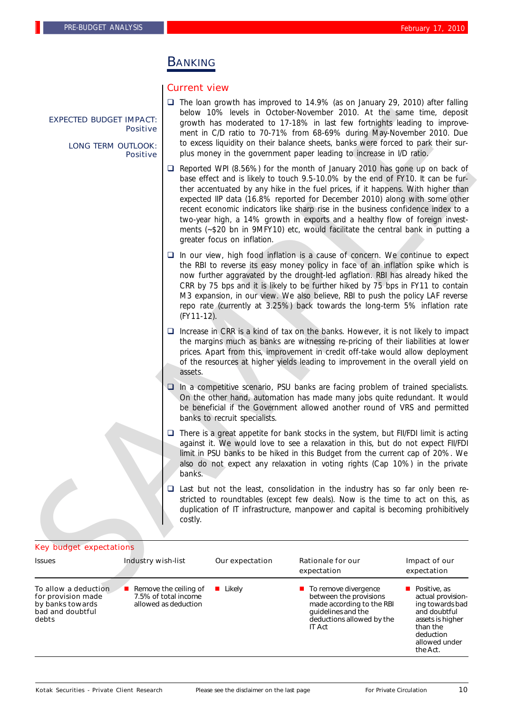EXPECTED BUDGET IMPACT:

LONG TERM OUTLOOK:

**Positive** 

Positive

## **BANKING**

#### Current view

 $\Box$  The loan growth has improved to 14.9% (as on January 29, 2010) after falling below 10% levels in October-November 2010. At the same time, deposit growth has moderated to 17-18% in last few fortnights leading to improvement in C/D ratio to 70-71% from 68-69% during May-November 2010. Due to excess liquidity on their balance sheets, banks were forced to park their surplus money in the government paper leading to increase in I/D ratio.

 $\Box$  Reported WPI (8.56%) for the month of January 2010 has gone up on back of base effect and is likely to touch 9.5-10.0% by the end of FY10. It can be further accentuated by any hike in the fuel prices, if it happens. With higher than expected IIP data (16.8% reported for December 2010) along with some other recent economic indicators like sharp rise in the business confidence index to a two-year high, a 14% growth in exports and a healthy flow of foreign investments (~\$20 bn in 9MFY10) etc, would facilitate the central bank in putting a greater focus on inflation. EXPECTED BLUDGET IMMACT:<br>
Brown has needed to 17-18% in last for forming the loading to improve-<br>
LONG TERM OUR IMMA (model to 10-7186 for 00-869% darry \$60% decays allow be more at 0.0 cm to the more and to due to the sp

 $\Box$  In our view, high food inflation is a cause of concern. We continue to expect the RBI to reverse its easy money policy in face of an inflation spike which is now further aggravated by the drought-led agflation. RBI has already hiked the CRR by 75 bps and it is likely to be further hiked by 75 bps in FY11 to contain M3 expansion, in our view. We also believe, RBI to push the policy LAF reverse repo rate (currently at 3.25%) back towards the long-term 5% inflation rate (FY11-12).

 $\Box$  Increase in CRR is a kind of tax on the banks. However, it is not likely to impact the margins much as banks are witnessing re-pricing of their liabilities at lower prices. Apart from this, improvement in credit off-take would allow deployment of the resources at higher yields leading to improvement in the overall yield on assets.

 $\Box$  In a competitive scenario, PSU banks are facing problem of trained specialists. On the other hand, automation has made many jobs quite redundant. It would be beneficial if the Government allowed another round of VRS and permitted banks to recruit specialists.

 $\Box$  There is a great appetite for bank stocks in the system, but FII/FDI limit is acting against it. We would love to see a relaxation in this, but do not expect FII/FDI limit in PSU banks to be hiked in this Budget from the current cap of 20%. We also do not expect any relaxation in voting rights (Cap 10%) in the private banks.

 $\Box$  Last but not the least, consolidation in the industry has so far only been restricted to roundtables (except few deals). Now is the time to act on this, as duplication of IT infrastructure, manpower and capital is becoming prohibitively costly.

#### Key budget expectations

| <b>Issues</b>                                                                               | <b>Industry wish-list</b>                                                            | Our expectation | Rationale for our<br>expectation                                                                                                                               | Impact of our<br>expectation                                                                                                                   |
|---------------------------------------------------------------------------------------------|--------------------------------------------------------------------------------------|-----------------|----------------------------------------------------------------------------------------------------------------------------------------------------------------|------------------------------------------------------------------------------------------------------------------------------------------------|
| To allow a deduction<br>for provision made<br>by banks towards<br>bad and doubtful<br>debts | $\blacksquare$ Remove the ceiling of<br>7.5% of total income<br>allowed as deduction | Likely          | $\blacksquare$ To remove divergence<br>between the provisions<br>made according to the RBI<br>quidelines and the<br>deductions allowed by the<br><b>IT Act</b> | Positive, as<br>actual provision-<br>ing towards bad<br>and doubtful<br>assets is higher<br>than the<br>deduction<br>allowed under<br>the Act. |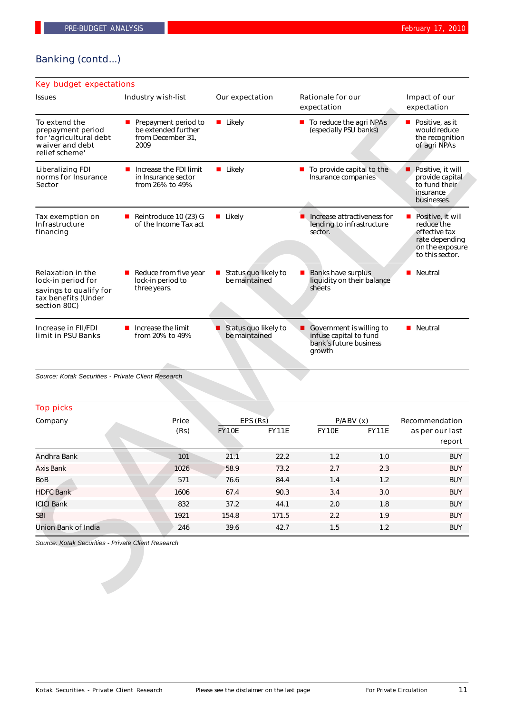## Banking (contd...)

#### Reintroduce 10  $(23)$  G of the Income Tax act Tax exemption on Infrastructure financing ■ Likely **Increase attractiveness for** lending to infrastructure sector.  $\blacksquare$  Positive, it will reduce the effective tax rate depending on the exposure to this sector.  $\blacksquare$  Reduce from five year lock-in period to three years. Relaxation in the lock-in period for savings to qualify for tax benefits (Under section 80C) status quo likely to be maintained Banks have surplus liquidity on their balance sheets  $\blacksquare$  Neutral Key budget expectations Issues **Industry wish-list** Our expectation Rationale for our Impact of our expectation expectation  $\blacksquare$  Increase the FDI limit in Insurance sector from 26% to 49% Liberalizing FDI norms for Insurance Sector ■ Likely **n** To provide capital to the Insurance companies  $\blacksquare$  Positive, it will provide capital to fund their insurance businesses.  $\blacksquare$  Increase the limit from 20% to 49% Increase in FII/FDI limit in PSU Banks Status quo likely to be maintained Government is willing to  $\blacksquare$  Neutral **Perepayment period to** be extended further from December 31, 2009 To extend the prepayment period for 'agricultural debt waiver and debt relief scheme' ■ Likely **n** To reduce the agri NPAs (especially PSU banks)  $\blacksquare$  Positive, as it would reduce the recognition<br>of agri NPAs To extend the material of the formula proposition of the system of the system of the system of the system of the system of the system of the system of the system of the system of the system of the system of the system of

*Source: Kotak Securities - Private Client Research*

| <b>Top picks</b>    |       |              |              |              |              |                 |  |  |  |  |
|---------------------|-------|--------------|--------------|--------------|--------------|-----------------|--|--|--|--|
| Company             | Price | EPS(Rs)      |              | P/ABV(x)     |              | Recommendation  |  |  |  |  |
|                     | (Rs)  | <b>FY10E</b> | <b>FY11E</b> | <b>FY10E</b> | <b>FY11E</b> | as per our last |  |  |  |  |
|                     |       |              |              |              |              | report          |  |  |  |  |
| Andhra Bank         | 101   | 21.1         | 22.2         | 1.2          | 1.0          | <b>BUY</b>      |  |  |  |  |
| Axis Bank           | 1026  | 58.9         | 73.2         | 2.7          | 2.3          | <b>BUY</b>      |  |  |  |  |
| BoB                 | 571   | 76.6         | 84.4         | 1.4          | 1.2          | <b>BUY</b>      |  |  |  |  |
| <b>HDFC Bank</b>    | 1606  | 67.4         | 90.3         | 3.4          | 3.0          | <b>BUY</b>      |  |  |  |  |
| <b>ICICI Bank</b>   | 832   | 37.2         | 44.1         | 2.0          | 1.8          | <b>BUY</b>      |  |  |  |  |
| <b>SBI</b>          | 1921  | 154.8        | 171.5        | 2.2          | 1.9          | <b>BUY</b>      |  |  |  |  |
| Union Bank of India | 246   | 39.6         | 42.7         | 1.5          | 1.2          | <b>BUY</b>      |  |  |  |  |

infuse capital to fund bank's future business

growth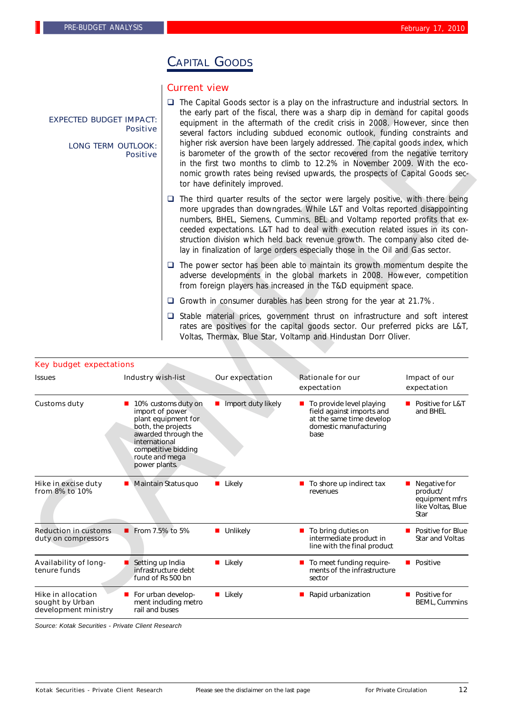# CAPITAL GOODS

### Current view

- $\Box$  The Capital Goods sector is a play on the infrastructure and industrial sectors. In the early part of the fiscal, there was a sharp dip in demand for capital goods equipment in the aftermath of the credit crisis in 2008. However, since then several factors including subdued economic outlook, funding constraints and higher risk aversion have been largely addressed. The capital goods index, which is barometer of the growth of the sector recovered from the negative territory in the first two months to climb to 12.2% in November 2009. With the economic growth rates being revised upwards, the prospects of Capital Goods sector have definitely improved.  $\square$  The third quarter results of the sector were largely positive, with there being more upgrades than downgrades. While L&T and Voltas reported disappointing numbers, BHEL, Siemens, Cummins, BEL and Voltamp reported profits that exceeded expectations. L&T had to deal with execution related issues in its construction division which held back revenue growth. The company also cited delay in finalization of large orders especially those in the Oil and Gas sector.  $\Box$  The power sector has been able to maintain its growth momentum despite the adverse developments in the global markets in 2008. However, competition from foreign players has increased in the T&D equipment space. Growth in consumer durables has been strong for the year at 21.7%. EXPECTED BUDGET IMPACT: **Positive** LONG TERM OUTLOOK: Positive
	- $\Box$  Stable material prices, government thrust on infrastructure and soft interest rates are positives for the capital goods sector. Our preferred picks are L&T, Voltas, Thermax, Blue Star, Voltamp and Hindustan Dorr Oliver.

| <b>EXPECTED BUDGET IMPACT:</b><br><b>LONG TERM OUTLOOK:</b> | <b>Positive</b><br><b>Positive</b>                                  |                                                                                                                  | the early part of the fiscal, there was a sharp dip in demand for capital goods<br>equipment in the aftermath of the credit crisis in 2008. However, since then<br>several factors including subdued economic outlook, funding constraints and<br>higher risk aversion have been largely addressed. The capital goods index, which<br>is barometer of the growth of the sector recovered from the negative territory<br>in the first two months to climb to 12.2% in November 2009. With the eco-<br>nomic growth rates being revised upwards, the prospects of Capital Goods sec-<br>tor have definitely improved. |                                                                                                                                                                                                                                                                                                                                                                                                                                                                                                          |                                                                                        |  |  |  |
|-------------------------------------------------------------|---------------------------------------------------------------------|------------------------------------------------------------------------------------------------------------------|---------------------------------------------------------------------------------------------------------------------------------------------------------------------------------------------------------------------------------------------------------------------------------------------------------------------------------------------------------------------------------------------------------------------------------------------------------------------------------------------------------------------------------------------------------------------------------------------------------------------|----------------------------------------------------------------------------------------------------------------------------------------------------------------------------------------------------------------------------------------------------------------------------------------------------------------------------------------------------------------------------------------------------------------------------------------------------------------------------------------------------------|----------------------------------------------------------------------------------------|--|--|--|
|                                                             |                                                                     |                                                                                                                  |                                                                                                                                                                                                                                                                                                                                                                                                                                                                                                                                                                                                                     | $\Box$ The third quarter results of the sector were largely positive, with there being<br>more upgrades than downgrades. While L&T and Voltas reported disappointing<br>numbers, BHEL, Siemens, Cummins, BEL and Voltamp reported profits that ex-<br>ceeded expectations. L&T had to deal with execution related issues in its con-<br>struction division which held back revenue growth. The company also cited de-<br>lay in finalization of large orders especially those in the Oil and Gas sector. |                                                                                        |  |  |  |
|                                                             |                                                                     |                                                                                                                  |                                                                                                                                                                                                                                                                                                                                                                                                                                                                                                                                                                                                                     | $\Box$ The power sector has been able to maintain its growth momentum despite the<br>adverse developments in the global markets in 2008. However, competition<br>from foreign players has increased in the T&D equipment space.                                                                                                                                                                                                                                                                          |                                                                                        |  |  |  |
|                                                             |                                                                     |                                                                                                                  |                                                                                                                                                                                                                                                                                                                                                                                                                                                                                                                                                                                                                     | $\Box$ Growth in consumer durables has been strong for the year at 21.7%.                                                                                                                                                                                                                                                                                                                                                                                                                                |                                                                                        |  |  |  |
|                                                             |                                                                     |                                                                                                                  |                                                                                                                                                                                                                                                                                                                                                                                                                                                                                                                                                                                                                     | $\Box$ Stable material prices, government thrust on infrastructure and soft interest<br>rates are positives for the capital goods sector. Our preferred picks are L&T,<br>Voltas, Thermax, Blue Star, Voltamp and Hindustan Dorr Oliver.                                                                                                                                                                                                                                                                 |                                                                                        |  |  |  |
|                                                             |                                                                     |                                                                                                                  |                                                                                                                                                                                                                                                                                                                                                                                                                                                                                                                                                                                                                     |                                                                                                                                                                                                                                                                                                                                                                                                                                                                                                          |                                                                                        |  |  |  |
| <b>Key budget expectations</b><br><b>Issues</b>             | <b>Industry wish-list</b>                                           |                                                                                                                  | Our expectation                                                                                                                                                                                                                                                                                                                                                                                                                                                                                                                                                                                                     | <b>Rationale for our</b><br>expectation                                                                                                                                                                                                                                                                                                                                                                                                                                                                  | Impact of our<br>expectation                                                           |  |  |  |
| <b>Customs duty</b>                                         | import of power<br>international<br>route and mega<br>power plants. | ■ 10% customs duty on<br>plant equipment for<br>both, the projects<br>awarded through the<br>competitive bidding | Import duty likely                                                                                                                                                                                                                                                                                                                                                                                                                                                                                                                                                                                                  | $\blacksquare$ To provide level playing<br>field against imports and<br>at the same time develop<br>domestic manufacturing<br>base                                                                                                                                                                                                                                                                                                                                                                       | ■ Positive for L&T<br>and BHEL                                                         |  |  |  |
| <b>Hike in excise duty</b><br>from 8% to 10%                | Maintain Status quo                                                 |                                                                                                                  | <b>Likely</b>                                                                                                                                                                                                                                                                                                                                                                                                                                                                                                                                                                                                       | $\blacksquare$ To shore up indirect tax<br>revenues                                                                                                                                                                                                                                                                                                                                                                                                                                                      | $\blacksquare$ Negative for<br>product/<br>equipment mfrs<br>like Voltas, Blue<br>Star |  |  |  |
| <b>Reduction in customs</b><br>duty on compressors          | From 7.5% to 5%                                                     |                                                                                                                  | ■ Unlikely                                                                                                                                                                                                                                                                                                                                                                                                                                                                                                                                                                                                          | ■ To bring duties on<br>intermediate product in<br>line with the final product                                                                                                                                                                                                                                                                                                                                                                                                                           | <b>Positive for Blue</b><br>Star and Voltas                                            |  |  |  |
| Availability of long-<br>tenure funds                       | Setting up India                                                    | infrastructure debt<br>fund of Rs 500 bn                                                                         | ■ Likely                                                                                                                                                                                                                                                                                                                                                                                                                                                                                                                                                                                                            | To meet funding require-<br>ments of the infrastructure<br>sector                                                                                                                                                                                                                                                                                                                                                                                                                                        | <b>Positive</b>                                                                        |  |  |  |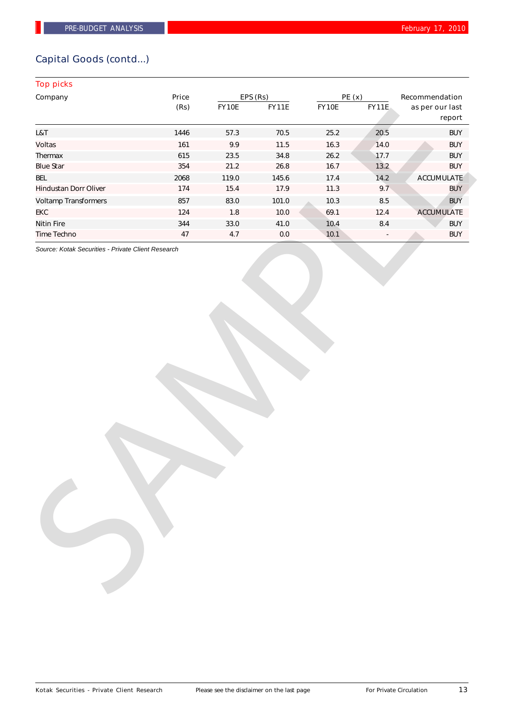## Capital Goods (contd...)

## Top picks

| Company                      | Price |          | EPS (Rs)     | PE(x) |              | Recommendation            |  |
|------------------------------|-------|----------|--------------|-------|--------------|---------------------------|--|
|                              | (Rs)  | FY10E    | <b>FY11E</b> | FY10E | <b>FY11E</b> | as per our last<br>report |  |
| L&T                          | 1446  | 57.3     | $70.5$       | 25.2  | 20.5         | <b>BUY</b>                |  |
| Voltas                       | 161   | 9.9      | $11.5$       | 16.3  | 14.0         | <b>BUY</b>                |  |
| Thermax                      | 615   | 23.5     | 34.8         | 26.2  | 17.7         | <b>BUY</b>                |  |
| <b>Blue Star</b>             | 354   | 21.2     | 26.8         | 16.7  | 13.2         | <b>BUY</b>                |  |
| <b>BEL</b>                   | 2068  | 119.0    | 145.6        | 17.4  | 14.2         | <b>ACCUMULATE</b>         |  |
| <b>Hindustan Dorr Oliver</b> | 174   | 15.4     | 17.9         | 11.3  | 9.7          | <b>BUY</b>                |  |
| <b>Voltamp Transformers</b>  | 857   | 83.0     | 101.0        | 10.3  | $\bf 8.5$    | <b>BUY</b>                |  |
| <b>EKC</b>                   | 124   | 1.8      | $10.0$       | 69.1  | 12.4         | <b>ACCUMULATE</b>         |  |
| <b>Nitin Fire</b>            | 344   | $33.0\,$ | 41.0         | 10.4  | $8.4\,$      | <b>BUY</b>                |  |
| Time Techno                  | 47    | $4.7\,$  | $0.0\,$      | 10.1  |              | <b>BUY</b>                |  |
|                              |       |          |              |       |              |                           |  |
|                              |       |          |              |       |              |                           |  |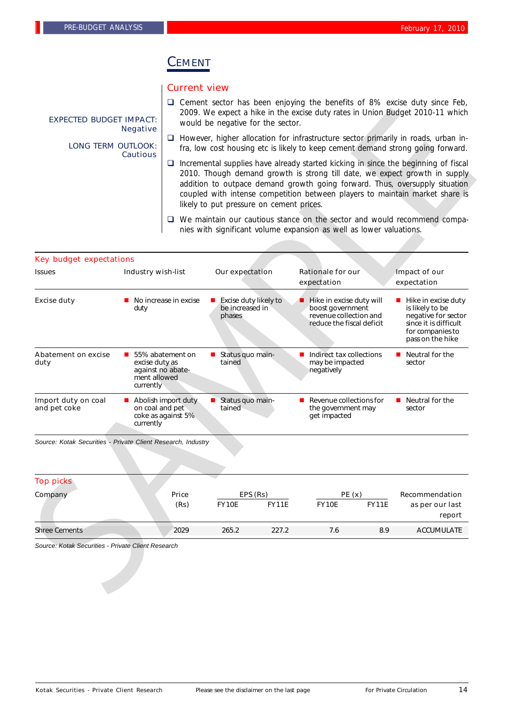## CEMENT

## Current view

- $\square$  Cement sector has been enjoying the benefits of 8% excise duty since Feb, 2009. We expect a hike in the excise duty rates in Union Budget 2010-11 which would be negative for the sector.
- $\Box$  However, higher allocation for infrastructure sector primarily in roads, urban infra, low cost housing etc is likely to keep cement demand strong going forward.
- $\Box$  Incremental supplies have already started kicking in since the beginning of fiscal 2010. Though demand growth is strong till date, we expect growth in supply addition to outpace demand growth going forward. Thus, oversupply situation coupled with intense competition between players to maintain market share is likely to put pressure on cement prices.
- $\Box$  We maintain our cautious stance on the sector and would recommend companies with significant volume expansion as well as lower valuations.

| <b>EXPECTED BUDGET IMPACT:</b>                               |                                                                                                                                                                                                                                                                                                                                                                                    | 2009. We expect a hike in the excise duty rates in Union Budget 2010-11 which<br>would be negative for the sector.                                                           |                                                    |              |                                                                                                     |              |                                                                                                                                |  |
|--------------------------------------------------------------|------------------------------------------------------------------------------------------------------------------------------------------------------------------------------------------------------------------------------------------------------------------------------------------------------------------------------------------------------------------------------------|------------------------------------------------------------------------------------------------------------------------------------------------------------------------------|----------------------------------------------------|--------------|-----------------------------------------------------------------------------------------------------|--------------|--------------------------------------------------------------------------------------------------------------------------------|--|
| <b>LONG TERM OUTLOOK:</b>                                    | <b>Negative</b><br><b>Cautious</b>                                                                                                                                                                                                                                                                                                                                                 | $\Box$ However, higher allocation for infrastructure sector primarily in roads, urban in-<br>fra, low cost housing etc is likely to keep cement demand strong going forward. |                                                    |              |                                                                                                     |              |                                                                                                                                |  |
|                                                              | $\Box$ Incremental supplies have already started kicking in since the beginning of fiscal<br>2010. Though demand growth is strong till date, we expect growth in supply<br>addition to outpace demand growth going forward. Thus, oversupply situation<br>coupled with intense competition between players to maintain market share is<br>likely to put pressure on cement prices. |                                                                                                                                                                              |                                                    |              |                                                                                                     |              |                                                                                                                                |  |
|                                                              |                                                                                                                                                                                                                                                                                                                                                                                    |                                                                                                                                                                              |                                                    |              | nies with significant volume expansion as well as lower valuations.                                 |              | □ We maintain our cautious stance on the sector and would recommend compa-                                                     |  |
| <b>Key budget expectations</b>                               |                                                                                                                                                                                                                                                                                                                                                                                    |                                                                                                                                                                              |                                                    |              |                                                                                                     |              |                                                                                                                                |  |
| <b>Issues</b>                                                | <b>Industry wish-list</b>                                                                                                                                                                                                                                                                                                                                                          |                                                                                                                                                                              | Our expectation                                    |              | <b>Rationale for our</b><br>expectation                                                             |              | <b>Impact of our</b><br>expectation                                                                                            |  |
| <b>Excise duty</b>                                           | No increase in excise<br>duty                                                                                                                                                                                                                                                                                                                                                      |                                                                                                                                                                              | Excise duty likely to<br>be increased in<br>phases |              | Hike in excise duty will<br>boost government<br>revenue collection and<br>reduce the fiscal deficit |              | Hike in excise duty<br>is likely to be<br>negative for sector<br>since it is difficult<br>for companies to<br>pass on the hike |  |
| <b>Abatement on excise</b><br>ш<br>duty                      | 55% abatement on<br>excise duty as<br>against no abate-<br>ment allowed<br>currently                                                                                                                                                                                                                                                                                               |                                                                                                                                                                              | Status quo main-<br>tained                         |              | Indirect tax collections<br>may be impacted<br>negatively                                           |              | $\blacksquare$ Neutral for the<br>sector                                                                                       |  |
| Import duty on coal<br>and pet coke                          | on coal and pet<br>currently                                                                                                                                                                                                                                                                                                                                                       | Abolish import duty<br>coke as against 5%                                                                                                                                    | Status quo main-<br>tained                         |              | Revenue collections for<br>the government may<br>get impacted                                       |              | $\blacksquare$ Neutral for the<br>sector                                                                                       |  |
| Source: Kotak Securities - Private Client Research, Industry |                                                                                                                                                                                                                                                                                                                                                                                    |                                                                                                                                                                              |                                                    |              |                                                                                                     |              |                                                                                                                                |  |
| <b>Top picks</b>                                             |                                                                                                                                                                                                                                                                                                                                                                                    |                                                                                                                                                                              |                                                    |              |                                                                                                     |              |                                                                                                                                |  |
| Company                                                      |                                                                                                                                                                                                                                                                                                                                                                                    | Price                                                                                                                                                                        | EPS (Rs)                                           |              | PE(x)                                                                                               |              | Recommendation                                                                                                                 |  |
|                                                              |                                                                                                                                                                                                                                                                                                                                                                                    | (Rs)                                                                                                                                                                         | <b>FY10E</b>                                       | <b>FY11E</b> | <b>FY10E</b>                                                                                        | <b>FY11E</b> | as per our last<br>report                                                                                                      |  |
|                                                              |                                                                                                                                                                                                                                                                                                                                                                                    | 2029                                                                                                                                                                         | 265.2                                              | 227.2        | 7.6                                                                                                 | 8.9          | <b>ACCUMULATE</b>                                                                                                              |  |

| <b>Top picks</b> |       |              |              |       |              |                           |
|------------------|-------|--------------|--------------|-------|--------------|---------------------------|
| Company          | Price |              | EPS (Rs)     |       | PE(x)        | Recommendation            |
|                  | (Rs)  | <b>FY10E</b> | <b>FY11E</b> | FY10E | <b>FY11E</b> | as per our last<br>report |
| Shree Cements    | 2029  | 265.2        | 227.2        | 7.6   | 8.9          | <b>ACCUMULATE</b>         |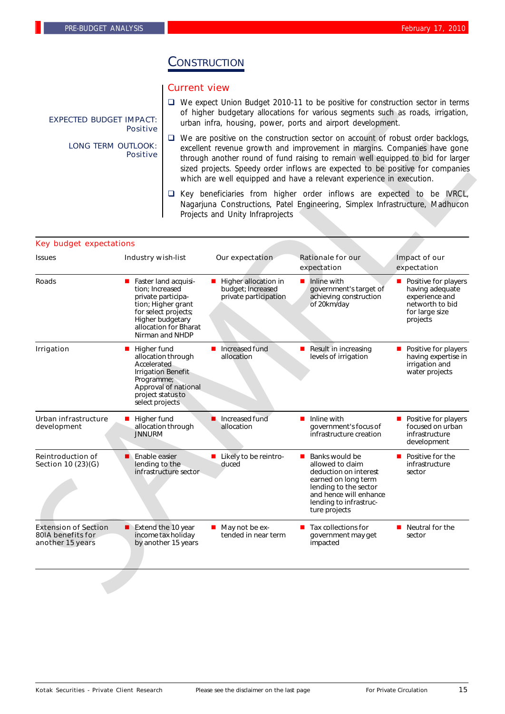# **CONSTRUCTION**

## Current view

- □ We expect Union Budget 2010-11 to be positive for construction sector in terms of higher budgetary allocations for various segments such as roads, irrigation, urban infra, housing, power, ports and airport development.
- $\Box$  We are positive on the construction sector on account of robust order backlogs, excellent revenue growth and improvement in margins. Companies have gone through another round of fund raising to remain well equipped to bid for larger sized projects. Speedy order inflows are expected to be positive for companies which are well equipped and have a relevant experience in execution.
- $\square$  Key beneficiaries from higher order inflows are expected to be IVRCL, Nagarjuna Constructions, Patel Engineering, Simplex Infrastructure, Madhucon Projects and Unity Infraprojects

## Key budget expectations

| of higher budgetary allocations for various segments such as roads, irrigation,<br><b>EXPECTED BUDGET IMPACT:</b><br>urban infra, housing, power, ports and airport development.<br><b>Positive</b> |                                                                                       |                                                                                                            |                                                                      |                                                                                                                                                                                                                                                                                                                                                                                                                 |                                                                                                            |
|-----------------------------------------------------------------------------------------------------------------------------------------------------------------------------------------------------|---------------------------------------------------------------------------------------|------------------------------------------------------------------------------------------------------------|----------------------------------------------------------------------|-----------------------------------------------------------------------------------------------------------------------------------------------------------------------------------------------------------------------------------------------------------------------------------------------------------------------------------------------------------------------------------------------------------------|------------------------------------------------------------------------------------------------------------|
| <b>LONG TERM OUTLOOK:</b>                                                                                                                                                                           | <b>Positive</b>                                                                       |                                                                                                            |                                                                      | $\Box$ We are positive on the construction sector on account of robust order backlogs,<br>excellent revenue growth and improvement in margins. Companies have gone<br>through another round of fund raising to remain well equipped to bid for larger<br>sized projects. Speedy order inflows are expected to be positive for companies<br>which are well equipped and have a relevant experience in execution. |                                                                                                            |
|                                                                                                                                                                                                     |                                                                                       | ⊔                                                                                                          | Projects and Unity Infraprojects                                     | Key beneficiaries from higher order inflows are expected to be IVRCL,<br>Nagarjuna Constructions, Patel Engineering, Simplex Infrastructure, Madhucon                                                                                                                                                                                                                                                           |                                                                                                            |
| <b>Key budget expectations</b>                                                                                                                                                                      |                                                                                       |                                                                                                            |                                                                      |                                                                                                                                                                                                                                                                                                                                                                                                                 |                                                                                                            |
| <b>Issues</b>                                                                                                                                                                                       | <b>Industry wish-list</b>                                                             |                                                                                                            | Our expectation                                                      | <b>Rationale for our</b><br>expectation                                                                                                                                                                                                                                                                                                                                                                         | Impact of our<br>expectation                                                                               |
| <b>Roads</b>                                                                                                                                                                                        | ■ Faster land acquisi-<br>tion: Increased<br>private participa-                       | tion; Higher grant<br>for select projects;<br>Higher budgetary<br>allocation for Bharat<br>Nirman and NHDP | ■ Higher allocation in<br>budget; Increased<br>private participation | Inline with<br>government's target of<br>achieving construction<br>of 20km/day                                                                                                                                                                                                                                                                                                                                  | Positive for players<br>having adequate<br>experience and<br>networth to bid<br>for large size<br>projects |
| <b>Irrigation</b>                                                                                                                                                                                   | Higher fund<br>ш<br>Accelerated<br>Programme;<br>project status to<br>select projects | allocation through<br><b>Irrigation Benefit</b><br>Approval of national                                    | Increased fund<br>allocation                                         | Result in increasing<br>levels of irrigation                                                                                                                                                                                                                                                                                                                                                                    | Positive for players<br>having expertise in<br>irrigation and<br>water projects                            |
| Urban infrastructure<br>development                                                                                                                                                                 | Higher fund<br>ш<br><b>JNNURM</b>                                                     | allocation through                                                                                         | Increased fund<br>allocation                                         | $\blacksquare$ Inline with<br>government's focus of<br>infrastructure creation                                                                                                                                                                                                                                                                                                                                  | Positive for players<br>focused on urban<br>infrastructure<br>development                                  |
| <b>Reintroduction of</b><br>Section 10 (23)(G)                                                                                                                                                      | Enable easier<br>lending to the                                                       | infrastructure sector                                                                                      | ■ Likely to be reintro-<br>duced                                     | Banks would be<br>allowed to claim<br>deduction on interest<br>earned on long term<br>lending to the sector<br>and hence will enhance<br>lending to infrastruc-<br>ture projects                                                                                                                                                                                                                                | Positive for the<br>infrastructure<br>sector                                                               |
| <b>Extension of Section</b><br>80IA benefits for<br>another 15 years                                                                                                                                | п                                                                                     | Extend the 10 year<br>income tax holiday<br>by another 15 years                                            | May not be ex-<br>tended in near term                                | Tax collections for<br>government may get<br>impacted                                                                                                                                                                                                                                                                                                                                                           | $\blacksquare$ Neutral for the<br>sector                                                                   |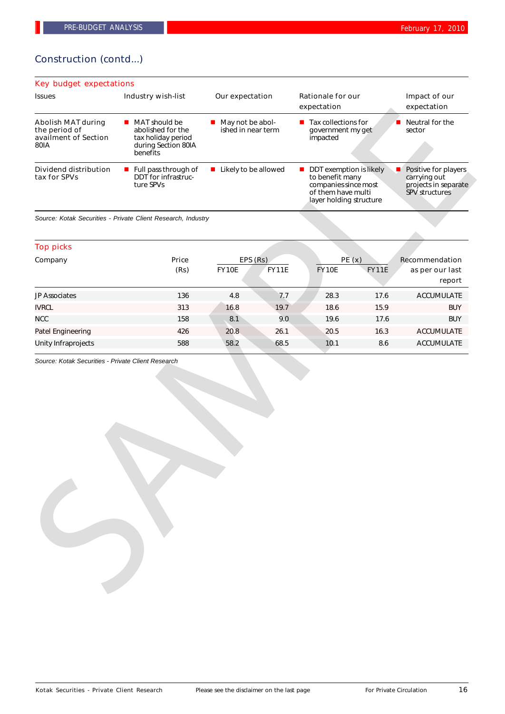## Construction (contd...)

| Key budget expectations                                                           |                                                                                                            |                                                       |                                                                                                                                    |                                                                                            |  |  |  |  |  |
|-----------------------------------------------------------------------------------|------------------------------------------------------------------------------------------------------------|-------------------------------------------------------|------------------------------------------------------------------------------------------------------------------------------------|--------------------------------------------------------------------------------------------|--|--|--|--|--|
| <b>Issues</b>                                                                     | <b>Industry wish-list</b>                                                                                  | Our expectation                                       | <b>Rationale for our</b><br>expectation                                                                                            | Impact of our<br>expectation                                                               |  |  |  |  |  |
| <b>Abolish MAT during</b><br>the period of<br>availment of Section<br><b>80IA</b> | $\blacksquare$ MAT should be<br>abolished for the<br>tax holiday period<br>during Section 80IA<br>benefits | $\blacksquare$ May not be abol-<br>ished in near term | $\blacksquare$ Tax collections for<br>government my get<br>impacted                                                                | Neutral for the<br>sector                                                                  |  |  |  |  |  |
| Dividend distribution<br>tax for SPVs                                             | $\blacksquare$ Full pass through of<br>DDT for infrastruc-<br>ture SPVs                                    | <b>Likely to be allowed</b>                           | $\blacksquare$ DDT exemption is likely<br>to benefit many<br>companies since most<br>of them have multi<br>layer holding structure | Positive for players<br>■<br>carrying out<br>projects in separate<br><b>SPV structures</b> |  |  |  |  |  |

|                                                                            |                                                                                                                            |                      |                                        | expectation           | expectation                                                                                                                                 |                                   |  |
|----------------------------------------------------------------------------|----------------------------------------------------------------------------------------------------------------------------|----------------------|----------------------------------------|-----------------------|---------------------------------------------------------------------------------------------------------------------------------------------|-----------------------------------|--|
| <b>Abolish MAT during</b><br>the period of<br>availment of Section<br>80IA | MAT should be<br>$\mathcal{L}_{\mathcal{A}}$<br>abolished for the<br>tax holiday period<br>during Section 80IA<br>benefits |                      | May not be abol-<br>ished in near term |                       | $\blacksquare$ Tax collections for<br>government my get                                                                                     | Neutral for the<br>sector         |  |
| <b>Dividend distribution</b><br>tax for SPVs                               | Full pass through of<br>DDT for infrastruc-<br>ture SPVs                                                                   | Likely to be allowed |                                        |                       | DDT exemption is likely<br>Positive for players<br>to benefit many<br>companies since most<br>of them have multi<br>layer holding structure |                                   |  |
|                                                                            | Source: Kotak Securities - Private Client Research, Industry                                                               |                      |                                        |                       |                                                                                                                                             |                                   |  |
| <b>Top picks</b>                                                           |                                                                                                                            |                      |                                        |                       |                                                                                                                                             |                                   |  |
| Company                                                                    | Price<br>(Rs)                                                                                                              | <b>FY10E</b>         | EPS (Rs)<br>FY11E                      | PE(x)<br><b>FY10E</b> | <b>FY11E</b>                                                                                                                                | Recommendation<br>as per our last |  |
|                                                                            |                                                                                                                            |                      |                                        |                       |                                                                                                                                             | report                            |  |
| JP Associates                                                              | 136                                                                                                                        | 4.8                  | 7.7                                    | 28.3                  | 17.6                                                                                                                                        | <b>ACCUMULATE</b>                 |  |
| <b>IVRCL</b>                                                               | 313                                                                                                                        | 16.8                 | 19.7                                   | 18.6                  | 15.9                                                                                                                                        | <b>BUY</b>                        |  |
| <b>NCC</b>                                                                 | 158                                                                                                                        | 8.1                  | 9.0                                    | 19.6                  | 17.6                                                                                                                                        | <b>BUY</b>                        |  |
| Patel Engineering                                                          | 426                                                                                                                        | 20.8                 | 26.1                                   | 20.5                  | 16.3                                                                                                                                        | <b>ACCUMULATE</b>                 |  |
| Unity Infraprojects                                                        | 588                                                                                                                        | 58.2                 | 68.5                                   | 10.1                  | 8.6                                                                                                                                         | <b>ACCUMULATE</b>                 |  |
| Source: Kotak Securities - Private Client Research                         |                                                                                                                            |                      |                                        |                       |                                                                                                                                             |                                   |  |
|                                                                            |                                                                                                                            |                      |                                        |                       |                                                                                                                                             |                                   |  |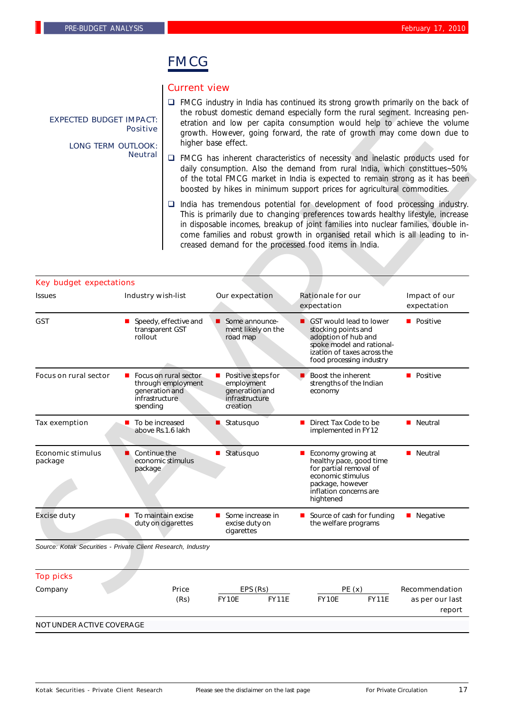# FMCG

## Current view

- $\Box$  FMCG industry in India has continued its strong growth primarily on the back of the robust domestic demand especially form the rural segment. Increasing penetration and low per capita consumption would help to achieve the volume growth. However, going forward, the rate of growth may come down due to higher base effect.
- $\Box$  FMCG has inherent characteristics of necessity and inelastic products used for daily consumption. Also the demand from rural India, which constittues~50% of the total FMCG market in India is expected to remain strong as it has been boosted by hikes in minimum support prices for agricultural commodities.
- $\Box$  India has tremendous potential for development of food processing industry. This is primarily due to changing preferences towards healthy lifestyle, increase in disposable incomes, breakup of joint families into nuclear families, double income families and robust growth in organised retail which is all leading to increased demand for the processed food items in India.

| <b>EXPECTED BUDGET IMPACT:</b><br><b>LONG TERM OUTLOOK:</b>  | <b>Positive</b>                                     |                                                                                                                                                                                                                                                                                                                                  | higher base effect.                                                              | the robust domestic demand especially form the rural segment. Increasing pen-<br>etration and low per capita consumption would help to achieve the volume<br>growth. However, going forward, the rate of growth may come down due to                                                                                                                                                                      |                                   |  |  |
|--------------------------------------------------------------|-----------------------------------------------------|----------------------------------------------------------------------------------------------------------------------------------------------------------------------------------------------------------------------------------------------------------------------------------------------------------------------------------|----------------------------------------------------------------------------------|-----------------------------------------------------------------------------------------------------------------------------------------------------------------------------------------------------------------------------------------------------------------------------------------------------------------------------------------------------------------------------------------------------------|-----------------------------------|--|--|
|                                                              | <b>Neutral</b>                                      | $\Box$ FMCG has inherent characteristics of necessity and inelastic products used for<br>daily consumption. Also the demand from rural India, which constittues~50%<br>of the total FMCG market in India is expected to remain strong as it has been<br>boosted by hikes in minimum support prices for agricultural commodities. |                                                                                  |                                                                                                                                                                                                                                                                                                                                                                                                           |                                   |  |  |
|                                                              |                                                     |                                                                                                                                                                                                                                                                                                                                  |                                                                                  | $\Box$ India has tremendous potential for development of food processing industry.<br>This is primarily due to changing preferences towards healthy lifestyle, increase<br>in disposable incomes, breakup of joint families into nuclear families, double in-<br>come families and robust growth in organised retail which is all leading to in-<br>creased demand for the processed food items in India. |                                   |  |  |
|                                                              |                                                     |                                                                                                                                                                                                                                                                                                                                  |                                                                                  |                                                                                                                                                                                                                                                                                                                                                                                                           |                                   |  |  |
| <b>Key budget expectations</b>                               |                                                     |                                                                                                                                                                                                                                                                                                                                  |                                                                                  |                                                                                                                                                                                                                                                                                                                                                                                                           |                                   |  |  |
| <b>Issues</b>                                                | <b>Industry wish-list</b>                           |                                                                                                                                                                                                                                                                                                                                  | Our expectation                                                                  | <b>Rationale for our</b><br>expectation                                                                                                                                                                                                                                                                                                                                                                   | Impact of our<br>expectation      |  |  |
| <b>GST</b>                                                   | transparent GST<br>rollout                          | Speedy, effective and                                                                                                                                                                                                                                                                                                            | Some announce-<br>ment likely on the<br>road map                                 | ■ GST would lead to lower<br>stocking points and<br>adoption of hub and<br>spoke model and rational-<br>ization of taxes across the<br>food processing industry                                                                                                                                                                                                                                           | <b>D</b> Positive                 |  |  |
| <b>Focus on rural sector</b>                                 | generation and<br><i>infrastructure</i><br>spending | Focus on rural sector<br>through employment                                                                                                                                                                                                                                                                                      | Positive steps for<br>employment<br>generation and<br>infrastructure<br>creation | Boost the inherent<br>strengths of the Indian<br>economy                                                                                                                                                                                                                                                                                                                                                  | <b>D</b> Positive                 |  |  |
| <b>Tax exemption</b>                                         | ■ To be increased                                   | above Rs.1.6 lakh                                                                                                                                                                                                                                                                                                                | $\blacksquare$ Status quo                                                        | Direct Tax Code to be<br>implemented in FY12                                                                                                                                                                                                                                                                                                                                                              | <b>Neutral</b>                    |  |  |
| <b>Economic stimulus</b><br>package                          | Continue the<br>package                             | economic stimulus                                                                                                                                                                                                                                                                                                                | $\blacksquare$ Status quo                                                        | Economy growing at<br>healthy pace, good time<br>for partial removal of<br>economic stimulus<br>package, however<br>inflation concerns are<br>hightened                                                                                                                                                                                                                                                   | <b>Neutral</b>                    |  |  |
| <b>Excise duty</b>                                           | $\blacksquare$ To maintain excise                   | duty on cigarettes                                                                                                                                                                                                                                                                                                               | Some increase in<br>excise duty on<br>cigarettes                                 | Source of cash for funding<br>the welfare programs                                                                                                                                                                                                                                                                                                                                                        | $\blacksquare$ Negative           |  |  |
| Source: Kotak Securities - Private Client Research, Industry |                                                     |                                                                                                                                                                                                                                                                                                                                  |                                                                                  |                                                                                                                                                                                                                                                                                                                                                                                                           |                                   |  |  |
| <b>Top picks</b>                                             |                                                     |                                                                                                                                                                                                                                                                                                                                  |                                                                                  |                                                                                                                                                                                                                                                                                                                                                                                                           |                                   |  |  |
| Company                                                      |                                                     | Price<br>(Rs)                                                                                                                                                                                                                                                                                                                    | EPS (Rs)<br><b>FY10E</b><br><b>FY11E</b>                                         | PE(x)<br><b>FY10E</b><br><b>FY11E</b>                                                                                                                                                                                                                                                                                                                                                                     | Recommendation<br>as per our last |  |  |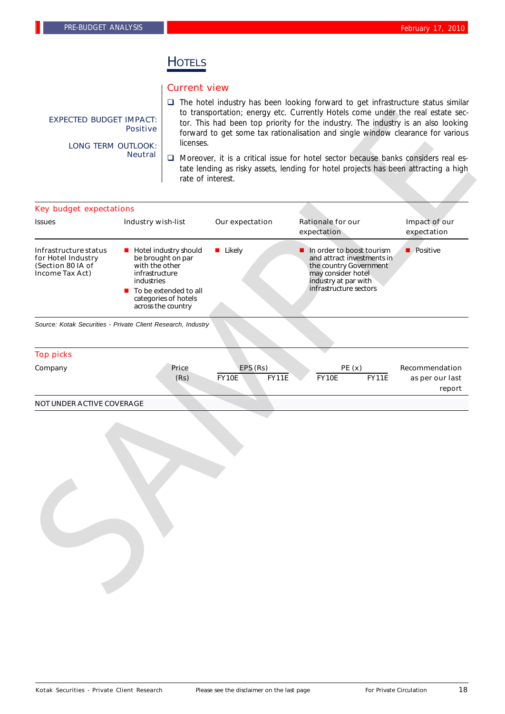# **HOTELS**

#### Current view

- $\square$  The hotel industry has been looking forward to get infrastructure status similar to transportation; energy etc. Currently Hotels come under the real estate sector. This had been top priority for the industry. The industry is an also looking forward to get some tax rationalisation and single window clearance for various licenses.
- $\Box$  Moreover, it is a critical issue for hotel sector because banks considers real estate lending as risky assets, lending for hotel projects has been attracting a high rate of interest.

| <b>EXPECTED BUDGET IMPACT:</b><br><b>LONG TERM OUTLOOK:</b>                         | <b>Positive</b>                                | to transportation; energy etc. Currently Hotels come under the real estate sec-<br>tor. This had been top priority for the industry. The industry is an also looking<br>forward to get some tax rationalisation and single window clearance for various<br>licenses.<br>$\Box$ Moreover, it is a critical issue for hotel sector because banks considers real es-<br>tate lending as risky assets, lending for hotel projects has been attracting a high<br>rate of interest. |                                          |                                                                                                                                                           |              |                                             |  |
|-------------------------------------------------------------------------------------|------------------------------------------------|-------------------------------------------------------------------------------------------------------------------------------------------------------------------------------------------------------------------------------------------------------------------------------------------------------------------------------------------------------------------------------------------------------------------------------------------------------------------------------|------------------------------------------|-----------------------------------------------------------------------------------------------------------------------------------------------------------|--------------|---------------------------------------------|--|
|                                                                                     | <b>Neutral</b>                                 |                                                                                                                                                                                                                                                                                                                                                                                                                                                                               |                                          |                                                                                                                                                           |              |                                             |  |
| <b>Key budget expectations</b>                                                      |                                                |                                                                                                                                                                                                                                                                                                                                                                                                                                                                               |                                          |                                                                                                                                                           |              |                                             |  |
| <b>Issues</b>                                                                       | Industry wish-list                             |                                                                                                                                                                                                                                                                                                                                                                                                                                                                               | Our expectation                          | <b>Rationale for our</b><br>expectation                                                                                                                   |              | Impact of our<br>expectation                |  |
| Infrastructure status<br>for Hotel Industry<br>(Section 80 IA of<br>Income Tax Act) | with the other<br>infrastructure<br>industries | <b>Hotel industry should</b><br>be brought on par<br>$\blacksquare$ To be extended to all<br>categories of hotels<br>across the country                                                                                                                                                                                                                                                                                                                                       | <b>Likely</b>                            | In order to boost tourism<br>and attract investments in<br>the country Government<br>may consider hotel<br>industry at par with<br>infrastructure sectors |              | $\blacksquare$ Positive                     |  |
| Source: Kotak Securities - Private Client Research, Industry                        |                                                |                                                                                                                                                                                                                                                                                                                                                                                                                                                                               |                                          |                                                                                                                                                           |              |                                             |  |
| <b>Top picks</b>                                                                    |                                                |                                                                                                                                                                                                                                                                                                                                                                                                                                                                               |                                          |                                                                                                                                                           |              |                                             |  |
| Company                                                                             |                                                | Price<br>(Rs)                                                                                                                                                                                                                                                                                                                                                                                                                                                                 | EPS (Rs)<br><b>FY10E</b><br><b>FY11E</b> | PE(x)<br><b>FY10E</b>                                                                                                                                     | <b>FY11E</b> | Recommendation<br>as per our last<br>report |  |
| <b>NOT UNDER ACTIVE COVERAGE</b>                                                    |                                                |                                                                                                                                                                                                                                                                                                                                                                                                                                                                               |                                          |                                                                                                                                                           |              |                                             |  |
|                                                                                     |                                                |                                                                                                                                                                                                                                                                                                                                                                                                                                                                               |                                          |                                                                                                                                                           |              |                                             |  |

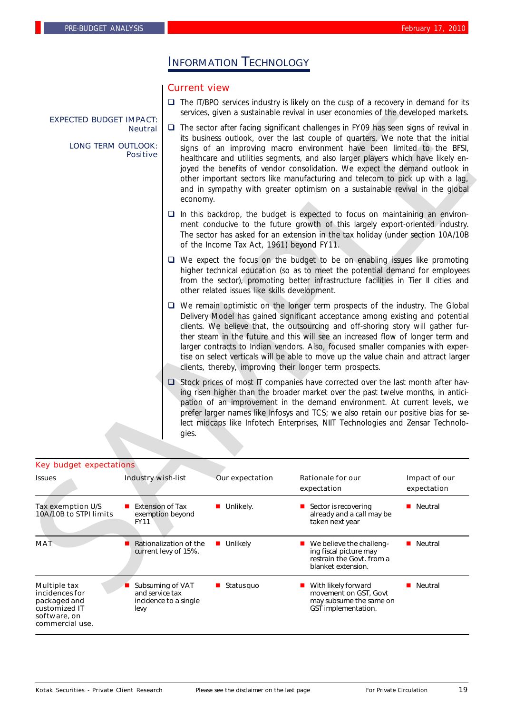# INFORMATION TECHNOLOGY

## Current view

 $\Box$  The IT/BPO services industry is likely on the cusp of a recovery in demand for its services, given a sustainable revival in user economies of the developed markets.

- $\Box$  In this backdrop, the budget is expected to focus on maintaining an environment conducive to the future growth of this largely export-oriented industry. The sector has asked for an extension in the tax holiday (under section 10A/10B of the Income Tax Act, 1961) beyond FY11.
- $\Box$  We expect the focus on the budget to be on enabling issues like promoting higher technical education (so as to meet the potential demand for employees from the sector), promoting better infrastructure facilities in Tier II cities and other related issues like skills development.
- $\Box$  We remain optimistic on the longer term prospects of the industry. The Global Delivery Model has gained significant acceptance among existing and potential clients. We believe that, the outsourcing and off-shoring story will gather further steam in the future and this will see an increased flow of longer term and larger contracts to Indian vendors. Also, focused smaller companies with expertise on select verticals will be able to move up the value chain and attract larger clients, thereby, improving their longer term prospects.
- $\Box$  Stock prices of most IT companies have corrected over the last month after having risen higher than the broader market over the past twelve months, in anticipation of an improvement in the demand environment. At current levels, we prefer larger names like Infosys and TCS; we also retain our positive bias for select midcaps like Infotech Enterprises, NIIT Technologies and Zensar Technologies.

#### Key budget expectations

| <b>EXPECTED BUDGET IMPACT:</b>                                                                            |                                                                       |          |                                               | services, given a sustainable revival in user economies of the developed markets.                                                                                                                                                                                                                                                                                                                                                                                                                                                                                                                                                                                                                                                                                                                                                                                                                                                                                                                                     |                              |
|-----------------------------------------------------------------------------------------------------------|-----------------------------------------------------------------------|----------|-----------------------------------------------|-----------------------------------------------------------------------------------------------------------------------------------------------------------------------------------------------------------------------------------------------------------------------------------------------------------------------------------------------------------------------------------------------------------------------------------------------------------------------------------------------------------------------------------------------------------------------------------------------------------------------------------------------------------------------------------------------------------------------------------------------------------------------------------------------------------------------------------------------------------------------------------------------------------------------------------------------------------------------------------------------------------------------|------------------------------|
| <b>LONG TERM OUTLOOK:</b>                                                                                 | <b>Neutral</b><br><b>Positive</b>                                     | economy. |                                               | $\Box$ The sector after facing significant challenges in FY09 has seen signs of revival in<br>its business outlook, over the last couple of quarters. We note that the initial<br>signs of an improving macro environment have been limited to the BFSI,<br>healthcare and utilities segments, and also larger players which have likely en-<br>joyed the benefits of vendor consolidation. We expect the demand outlook in<br>other important sectors like manufacturing and telecom to pick up with a lag,<br>and in sympathy with greater optimism on a sustainable revival in the global                                                                                                                                                                                                                                                                                                                                                                                                                          |                              |
|                                                                                                           |                                                                       |          | of the Income Tax Act, 1961) beyond FY11.     | $\Box$ In this backdrop, the budget is expected to focus on maintaining an environ-<br>ment conducive to the future growth of this largely export-oriented industry.<br>The sector has asked for an extension in the tax holiday (under section 10A/10B                                                                                                                                                                                                                                                                                                                                                                                                                                                                                                                                                                                                                                                                                                                                                               |                              |
|                                                                                                           |                                                                       |          | other related issues like skills development. | $\Box$ We expect the focus on the budget to be on enabling issues like promoting<br>higher technical education (so as to meet the potential demand for employees<br>from the sector), promoting better infrastructure facilities in Tier II cities and                                                                                                                                                                                                                                                                                                                                                                                                                                                                                                                                                                                                                                                                                                                                                                |                              |
|                                                                                                           |                                                                       | gies.    |                                               | $\Box$ We remain optimistic on the longer term prospects of the industry. The Global<br>Delivery Model has gained significant acceptance among existing and potential<br>clients. We believe that, the outsourcing and off-shoring story will gather fur-<br>ther steam in the future and this will see an increased flow of longer term and<br>larger contracts to Indian vendors. Also, focused smaller companies with exper-<br>tise on select verticals will be able to move up the value chain and attract larger<br>clients, thereby, improving their longer term prospects.<br>$\Box$ Stock prices of most IT companies have corrected over the last month after hav-<br>ing risen higher than the broader market over the past twelve months, in antici-<br>pation of an improvement in the demand environment. At current levels, we<br>prefer larger names like Infosys and TCS; we also retain our positive bias for se-<br>lect midcaps like Infotech Enterprises, NIIT Technologies and Zensar Technolo- |                              |
|                                                                                                           |                                                                       |          |                                               |                                                                                                                                                                                                                                                                                                                                                                                                                                                                                                                                                                                                                                                                                                                                                                                                                                                                                                                                                                                                                       |                              |
| <b>Key budget expectations</b>                                                                            |                                                                       |          |                                               |                                                                                                                                                                                                                                                                                                                                                                                                                                                                                                                                                                                                                                                                                                                                                                                                                                                                                                                                                                                                                       |                              |
| <b>Issues</b>                                                                                             | <b>Industry wish-list</b>                                             |          | Our expectation                               | <b>Rationale for our</b><br>expectation                                                                                                                                                                                                                                                                                                                                                                                                                                                                                                                                                                                                                                                                                                                                                                                                                                                                                                                                                                               | Impact of our<br>expectation |
| <b>Tax exemption U/S</b><br>10A/10B to STPI limits                                                        | <b>Extension of Tax</b><br>$\blacksquare$<br>exemption beyond<br>FY11 |          | <b>Unlikely.</b>                              | Sector is recovering<br>already and a call may be<br>taken next year                                                                                                                                                                                                                                                                                                                                                                                                                                                                                                                                                                                                                                                                                                                                                                                                                                                                                                                                                  | <b>Neutral</b>               |
| <b>MAT</b>                                                                                                | Rationalization of the<br>current levy of 15%.                        |          | <b>Unlikely</b>                               | We believe the challeng-<br>ш<br>ing fiscal picture may<br>restrain the Govt. from a<br>blanket extension.                                                                                                                                                                                                                                                                                                                                                                                                                                                                                                                                                                                                                                                                                                                                                                                                                                                                                                            | ■ Neutral                    |
| <b>Multiple tax</b><br>incidences for<br>packaged and<br>customized IT<br>software, on<br>commercial use. | Subsuming of VAT<br>and service tax<br>incidence to a single<br>levy  |          | $\blacksquare$ Status quo                     | With likely forward<br>movement on GST, Govt<br>may subsume the same on<br>GST implementation.                                                                                                                                                                                                                                                                                                                                                                                                                                                                                                                                                                                                                                                                                                                                                                                                                                                                                                                        | ■ Neutral                    |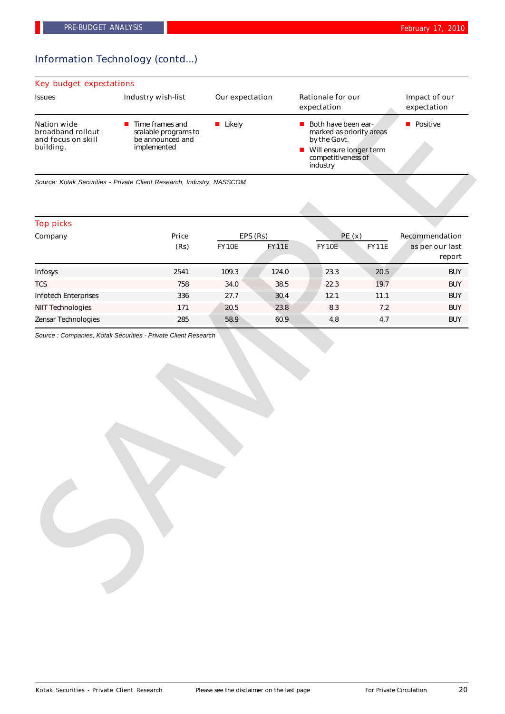# Information Technology (contd...)

## Key budget expectations

| <b>Issues</b>                                                              | Industry wish-list                                                                        | Our expectation | <b>Rationale for our</b><br>expectation                                                                                                       | Impact of our<br>expectation |
|----------------------------------------------------------------------------|-------------------------------------------------------------------------------------------|-----------------|-----------------------------------------------------------------------------------------------------------------------------------------------|------------------------------|
| <b>Nation wide</b><br>broadband rollout<br>and focus on skill<br>building. | $\blacksquare$ Time frames and<br>scalable programs to<br>be announced and<br>implemented | Likely          | $\blacksquare$ Both have been ear-<br>marked as priority areas<br>by the Govt.<br>■ Will ensure longer term<br>competitiveness of<br>industry | <b>Positive</b>              |

## Top picks

| <b>Nation wide</b>                                   |                                                                                           |               |                          |                                                                                                                              | expectation  |                                             |
|------------------------------------------------------|-------------------------------------------------------------------------------------------|---------------|--------------------------|------------------------------------------------------------------------------------------------------------------------------|--------------|---------------------------------------------|
| broadband rollout<br>and focus on skill<br>building. | $\blacksquare$ Time frames and<br>scalable programs to<br>be announced and<br>implemented | <b>Likely</b> |                          | Both have been ear-<br>marked as priority areas<br>by the Govt.<br>Will ensure longer term<br>competitiveness of<br>industry |              | <b>Positive</b>                             |
|                                                      | Source: Kotak Securities - Private Client Research, Industry, NASSCOM                     |               |                          |                                                                                                                              |              |                                             |
| <b>Top picks</b>                                     |                                                                                           |               |                          |                                                                                                                              |              |                                             |
| Company                                              | Price<br>(Rs)                                                                             | FY10E         | EPS (Rs)<br><b>FY11E</b> | PE(x)<br><b>FY10E</b>                                                                                                        | <b>FY11E</b> | Recommendation<br>as per our last<br>report |
| Infosys                                              | 2541                                                                                      | 109.3         | 124.0                    | 23.3                                                                                                                         | 20.5         | <b>BUY</b>                                  |
| <b>TCS</b>                                           | 758                                                                                       | 34.0          | 38.5                     | 22.3                                                                                                                         | 19.7         | <b>BUY</b>                                  |
| Infotech Enterprises                                 | 336                                                                                       | 27.7          | 30.4                     | 12.1                                                                                                                         | 11.1         | <b>BUY</b>                                  |
| <b>NIIT Technologies</b>                             | 171                                                                                       | 20.5          | 23.8                     | 8.3                                                                                                                          | 7.2          | <b>BUY</b>                                  |
| Zensar Technologies                                  | 285                                                                                       | 58.9          | 60.9                     | 4.8                                                                                                                          | 4.7          | <b>BUY</b>                                  |
|                                                      | Source : Companies, Kotak Securities - Private Client Research                            |               |                          |                                                                                                                              |              |                                             |
|                                                      |                                                                                           |               |                          |                                                                                                                              |              |                                             |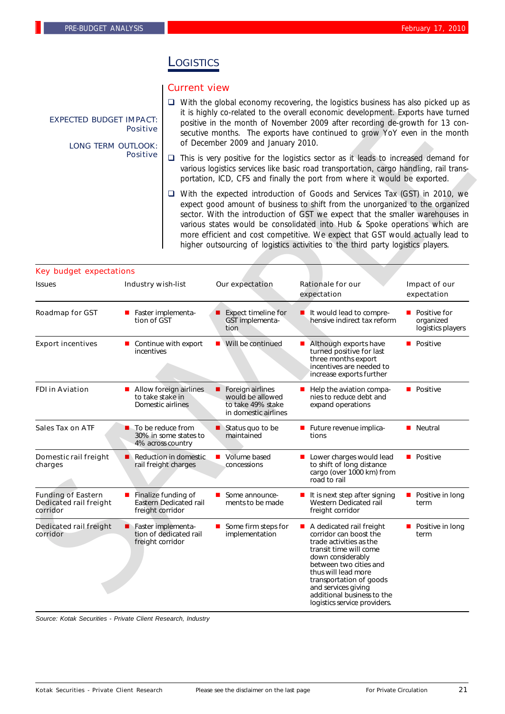## **L**OGISTICS

## Current view

- $\Box$  With the global economy recovering, the logistics business has also picked up as it is highly co-related to the overall economic development. Exports have turned positive in the month of November 2009 after recording de-growth for 13 consecutive months. The exports have continued to grow YoY even in the month of December 2009 and January 2010.
- $\Box$  This is very positive for the logistics sector as it leads to increased demand for various logistics services like basic road transportation, cargo handling, rail transportation, ICD, CFS and finally the port from where it would be exported.

| <b>EXPECTED BUDGET IMPACT:</b><br><b>LONG TERM OUTLOOK:</b>            | <b>Positive</b>                            | it is highly co-related to the overall economic development. Exports have turned<br>positive in the month of November 2009 after recording de-growth for 13 con-<br>secutive months. The exports have continued to grow YoY even in the month<br>of December 2009 and January 2010. |                                                                                          |                                                                                                                                                                                                                                                                                                                                                                                                                                                                                                         |                                                |  |  |
|------------------------------------------------------------------------|--------------------------------------------|-------------------------------------------------------------------------------------------------------------------------------------------------------------------------------------------------------------------------------------------------------------------------------------|------------------------------------------------------------------------------------------|---------------------------------------------------------------------------------------------------------------------------------------------------------------------------------------------------------------------------------------------------------------------------------------------------------------------------------------------------------------------------------------------------------------------------------------------------------------------------------------------------------|------------------------------------------------|--|--|
|                                                                        | <b>Positive</b>                            | $\Box$ This is very positive for the logistics sector as it leads to increased demand for<br>various logistics services like basic road transportation, cargo handling, rail trans-<br>portation, ICD, CFS and finally the port from where it would be exported.                    |                                                                                          |                                                                                                                                                                                                                                                                                                                                                                                                                                                                                                         |                                                |  |  |
|                                                                        |                                            |                                                                                                                                                                                                                                                                                     |                                                                                          | $\Box$ With the expected introduction of Goods and Services Tax (GST) in 2010, we<br>expect good amount of business to shift from the unorganized to the organized<br>sector. With the introduction of GST we expect that the smaller warehouses in<br>various states would be consolidated into Hub & Spoke operations which are<br>more efficient and cost competitive. We expect that GST would actually lead to<br>higher outsourcing of logistics activities to the third party logistics players. |                                                |  |  |
| <b>Key budget expectations</b><br><b>Issues</b>                        | <b>Industry wish-list</b>                  |                                                                                                                                                                                                                                                                                     | Our expectation                                                                          | <b>Rationale for our</b><br>expectation                                                                                                                                                                                                                                                                                                                                                                                                                                                                 | Impact of our<br>expectation                   |  |  |
| <b>Roadmap for GST</b>                                                 | tion of GST                                | Faster implementa-                                                                                                                                                                                                                                                                  | Expect timeline for<br>GST implementa-<br>tion                                           | It would lead to compre-<br>hensive indirect tax reform                                                                                                                                                                                                                                                                                                                                                                                                                                                 | Positive for<br>organized<br>logistics players |  |  |
| <b>Export incentives</b>                                               | incentives                                 | ■ Continue with export                                                                                                                                                                                                                                                              | Will be continued                                                                        | Although exports have<br>turned positive for last<br>three months export<br>incentives are needed to<br>increase exports further                                                                                                                                                                                                                                                                                                                                                                        | <b>Positive</b>                                |  |  |
| <b>FDI in Aviation</b>                                                 | ш<br>to take stake in<br>Domestic airlines | Allow foreign airlines                                                                                                                                                                                                                                                              | <b>Foreign airlines</b><br>would be allowed<br>to take 49% stake<br>in domestic airlines | Help the aviation compa-<br>nies to reduce debt and<br>expand operations                                                                                                                                                                                                                                                                                                                                                                                                                                | <b>Positive</b>                                |  |  |
| <b>Sales Tax on ATF</b>                                                | ■ To be reduce from<br>4% across country   | 30% in some states to                                                                                                                                                                                                                                                               | Status quo to be<br>maintained                                                           | Future revenue implica-<br>tions                                                                                                                                                                                                                                                                                                                                                                                                                                                                        | <b>Neutral</b>                                 |  |  |
| Domestic rail freight<br>charges                                       |                                            | $\blacksquare$ Reduction in domestic<br>rail freight charges                                                                                                                                                                                                                        | Volume based<br>concessions                                                              | Lower charges would lead<br>to shift of long distance<br>cargo (over 1000 km) from<br>road to rail                                                                                                                                                                                                                                                                                                                                                                                                      | <b>Positive</b>                                |  |  |
| <b>Funding of Eastern</b><br><b>Dedicated rail freight</b><br>corridor | Finalize funding of<br>freight corridor    | Eastern Dedicated rail                                                                                                                                                                                                                                                              | Some announce-<br>$\blacksquare$<br>ments to be made                                     | ■ It is next step after signing<br>Western Dedicated rail<br>freight corridor                                                                                                                                                                                                                                                                                                                                                                                                                           | <b>Positive in long</b><br>term                |  |  |
| <b>Dedicated rail freight</b><br>corridor                              | Faster implementa-<br>freight corridor     | tion of dedicated rail                                                                                                                                                                                                                                                              | Some firm steps for<br>implementation                                                    | A dedicated rail freight<br>corridor can boost the<br>trade activities as the<br>transit time will come<br>down considerably<br>between two cities and<br>thus will lead more<br>transportation of goods<br>and services giving<br>additional business to the<br>logistics service providers.                                                                                                                                                                                                           | Positive in long<br>term                       |  |  |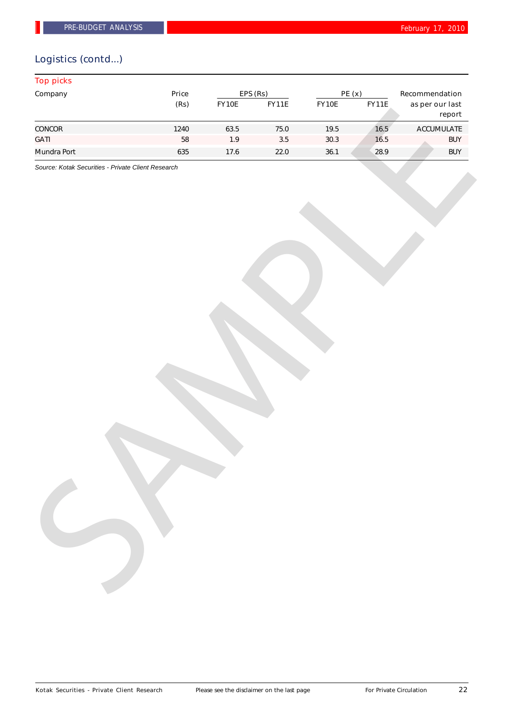# Logistics (contd...)

| Price<br>EPS (Rs)<br>PE(x)<br>Recommendation<br>(Rs)<br>FY10E<br>FY11E<br><b>FY11E</b><br>FY10E<br>as per our last<br>report<br>16.5<br>1240<br>63.5<br>$75.0\,$<br>19.5<br>ACCUMULATE<br>16.5<br>${\bf 58}$<br>1.9<br>$3.5\,$<br>$30.3$<br><b>BUY</b><br>28.9<br>36.1<br><b>BUY</b><br>635<br>$17.6$<br>22.0<br>Source: Kotak Securities - Private Client Research | <b>Top picks</b> |  |  |  |  |  |
|---------------------------------------------------------------------------------------------------------------------------------------------------------------------------------------------------------------------------------------------------------------------------------------------------------------------------------------------------------------------|------------------|--|--|--|--|--|
|                                                                                                                                                                                                                                                                                                                                                                     | Company          |  |  |  |  |  |
|                                                                                                                                                                                                                                                                                                                                                                     |                  |  |  |  |  |  |
|                                                                                                                                                                                                                                                                                                                                                                     | CONCOR           |  |  |  |  |  |
|                                                                                                                                                                                                                                                                                                                                                                     | <b>GATI</b>      |  |  |  |  |  |
|                                                                                                                                                                                                                                                                                                                                                                     | Mundra Port      |  |  |  |  |  |
|                                                                                                                                                                                                                                                                                                                                                                     |                  |  |  |  |  |  |
|                                                                                                                                                                                                                                                                                                                                                                     |                  |  |  |  |  |  |
|                                                                                                                                                                                                                                                                                                                                                                     |                  |  |  |  |  |  |
|                                                                                                                                                                                                                                                                                                                                                                     |                  |  |  |  |  |  |
|                                                                                                                                                                                                                                                                                                                                                                     |                  |  |  |  |  |  |
|                                                                                                                                                                                                                                                                                                                                                                     |                  |  |  |  |  |  |
|                                                                                                                                                                                                                                                                                                                                                                     |                  |  |  |  |  |  |
|                                                                                                                                                                                                                                                                                                                                                                     |                  |  |  |  |  |  |
|                                                                                                                                                                                                                                                                                                                                                                     |                  |  |  |  |  |  |
|                                                                                                                                                                                                                                                                                                                                                                     |                  |  |  |  |  |  |
|                                                                                                                                                                                                                                                                                                                                                                     |                  |  |  |  |  |  |
|                                                                                                                                                                                                                                                                                                                                                                     |                  |  |  |  |  |  |
|                                                                                                                                                                                                                                                                                                                                                                     |                  |  |  |  |  |  |
|                                                                                                                                                                                                                                                                                                                                                                     |                  |  |  |  |  |  |
|                                                                                                                                                                                                                                                                                                                                                                     |                  |  |  |  |  |  |
|                                                                                                                                                                                                                                                                                                                                                                     |                  |  |  |  |  |  |
|                                                                                                                                                                                                                                                                                                                                                                     |                  |  |  |  |  |  |
|                                                                                                                                                                                                                                                                                                                                                                     |                  |  |  |  |  |  |
|                                                                                                                                                                                                                                                                                                                                                                     |                  |  |  |  |  |  |
|                                                                                                                                                                                                                                                                                                                                                                     |                  |  |  |  |  |  |
|                                                                                                                                                                                                                                                                                                                                                                     |                  |  |  |  |  |  |
|                                                                                                                                                                                                                                                                                                                                                                     |                  |  |  |  |  |  |
|                                                                                                                                                                                                                                                                                                                                                                     |                  |  |  |  |  |  |
|                                                                                                                                                                                                                                                                                                                                                                     |                  |  |  |  |  |  |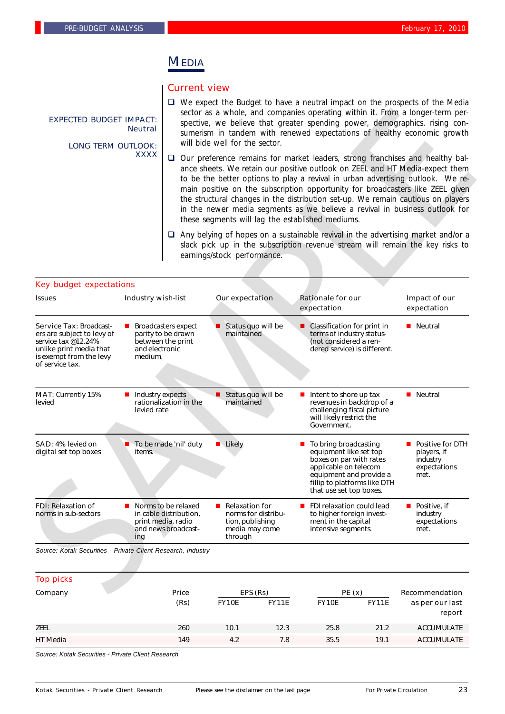## MEDIA

## Current view

- $\Box$  We expect the Budget to have a neutral impact on the prospects of the Media sector as a whole, and companies operating within it. From a longer-term perspective, we believe that greater spending power, demographics, rising consumerism in tandem with renewed expectations of healthy economic growth will bide well for the sector.
- $\Box$  Our preference remains for market leaders, strong franchises and healthy balance sheets. We retain our positive outlook on ZEEL and HT Media-expect them to be the better options to play a revival in urban advertising outlook. We remain positive on the subscription opportunity for broadcasters like ZEEL given the structural changes in the distribution set-up. We remain cautious on players in the newer media segments as we believe a revival in business outlook for these segments will lag the established mediums.
- $\Box$  Any belying of hopes on a sustainable revival in the advertising market and/or a slack pick up in the subscription revenue stream will remain the key risks to earnings/stock performance.

| <b>EXPECTED BUDGET IMPACT:</b><br><b>LONG TERM OUTLOOK:</b>                                                                                                  | <b>Neutral</b>                  |                                                                                            | will bide well for the sector.                                                                                                                                                                                                                                                                                                                                                                                                                                                                                                                                   | sector as a whole, and companies operating within it. From a longer-term per-<br>spective, we believe that greater spending power, demographics, rising con-<br>sumerism in tandem with renewed expectations of healthy economic growth |                                                                       |  |  |
|--------------------------------------------------------------------------------------------------------------------------------------------------------------|---------------------------------|--------------------------------------------------------------------------------------------|------------------------------------------------------------------------------------------------------------------------------------------------------------------------------------------------------------------------------------------------------------------------------------------------------------------------------------------------------------------------------------------------------------------------------------------------------------------------------------------------------------------------------------------------------------------|-----------------------------------------------------------------------------------------------------------------------------------------------------------------------------------------------------------------------------------------|-----------------------------------------------------------------------|--|--|
|                                                                                                                                                              | <b>XXXX</b>                     |                                                                                            | $\Box$ Our preference remains for market leaders, strong franchises and healthy bal-<br>ance sheets. We retain our positive outlook on ZEEL and HT Media-expect them<br>to be the better options to play a revival in urban advertising outlook. We re-<br>main positive on the subscription opportunity for broadcasters like ZEEL given<br>the structural changes in the distribution set-up. We remain cautious on players<br>in the newer media segments as we believe a revival in business outlook for<br>these segments will lag the established mediums. |                                                                                                                                                                                                                                         |                                                                       |  |  |
|                                                                                                                                                              |                                 |                                                                                            | earnings/stock performance.                                                                                                                                                                                                                                                                                                                                                                                                                                                                                                                                      | $\Box$ Any belying of hopes on a sustainable revival in the advertising market and/or a<br>slack pick up in the subscription revenue stream will remain the key risks to                                                                |                                                                       |  |  |
| <b>Key budget expectations</b>                                                                                                                               |                                 |                                                                                            |                                                                                                                                                                                                                                                                                                                                                                                                                                                                                                                                                                  |                                                                                                                                                                                                                                         |                                                                       |  |  |
| <b>Issues</b>                                                                                                                                                | <b>Industry wish-list</b>       |                                                                                            | Our expectation                                                                                                                                                                                                                                                                                                                                                                                                                                                                                                                                                  | <b>Rationale for our</b><br>expectation                                                                                                                                                                                                 | Impact of our<br>expectation                                          |  |  |
| <b>Service Tax: Broadcast-</b><br>ers are subject to levy of<br>service tax @12.24%<br>unlike print media that<br>is exempt from the levy<br>of service tax. | and electronic<br>medium.       | <b>Broadcasters expect</b><br>parity to be drawn<br>between the print                      | Status quo will be<br>maintained                                                                                                                                                                                                                                                                                                                                                                                                                                                                                                                                 | Classification for print in<br>terms of industry status-<br>(not considered a ren-<br>dered service) is different.                                                                                                                      | <b>Neutral</b>                                                        |  |  |
| MAT: Currently 15%<br>levied                                                                                                                                 | Industry expects<br>levied rate | rationalization in the                                                                     | Status quo will be<br>maintained                                                                                                                                                                                                                                                                                                                                                                                                                                                                                                                                 | Intent to shore up tax<br>revenues in backdrop of a<br>challenging fiscal picture<br>will likely restrict the<br>Government.                                                                                                            | <b>Neutral</b>                                                        |  |  |
| SAD: 4% levied on<br>digital set top boxes                                                                                                                   | items.                          | ■ To be made 'nil' duty                                                                    | $\blacksquare$ Likely                                                                                                                                                                                                                                                                                                                                                                                                                                                                                                                                            | To bring broadcasting<br>equipment like set top<br>boxes on par with rates<br>applicable on telecom<br>equipment and provide a<br>fillip to platforms like DTH<br>that use set top boxes.                                               | ■ Positive for DTH<br>players, if<br>industry<br>expectations<br>met. |  |  |
| <b>FDI:</b> Relaxation of<br>norms in sub-sectors                                                                                                            | ing                             | Norms to be relaxed<br>in cable distribution,<br>print media, radio<br>and news broadcast- | <b>Relaxation for</b><br>norms for distribu-<br>tion, publishing<br>media may come<br>through                                                                                                                                                                                                                                                                                                                                                                                                                                                                    | FDI relaxation could lead<br>to higher foreign invest-<br>ment in the capital<br>intensive segments.                                                                                                                                    | $\blacksquare$ Positive, if<br>industry<br>expectations<br>met.       |  |  |
| Source: Kotak Securities - Private Client Research, Industry                                                                                                 |                                 |                                                                                            |                                                                                                                                                                                                                                                                                                                                                                                                                                                                                                                                                                  |                                                                                                                                                                                                                                         |                                                                       |  |  |
| <b>Top picks</b>                                                                                                                                             |                                 |                                                                                            |                                                                                                                                                                                                                                                                                                                                                                                                                                                                                                                                                                  |                                                                                                                                                                                                                                         |                                                                       |  |  |
| Company                                                                                                                                                      |                                 | Price                                                                                      | EPS (Rs)                                                                                                                                                                                                                                                                                                                                                                                                                                                                                                                                                         | PE(x)                                                                                                                                                                                                                                   | Recommendation                                                        |  |  |

| <b>Top picks</b> |       |              |              |              |              |                   |
|------------------|-------|--------------|--------------|--------------|--------------|-------------------|
| Company          | Price |              | EPS (Rs)     | PE(x)        |              | Recommendation    |
|                  | (Rs)  | <b>FY10E</b> | <b>FY11E</b> | <b>FY10E</b> | <b>FY11E</b> | as per our last   |
|                  |       |              |              |              |              | report            |
| <b>ZEEL</b>      | 260   | 10.1         | 12.3         | 25.8         | 21.2         | <b>ACCUMULATE</b> |
| HT Media         | 149   | 4.2          | 7.8          | 35.5         | 19.1         | <b>ACCUMULATE</b> |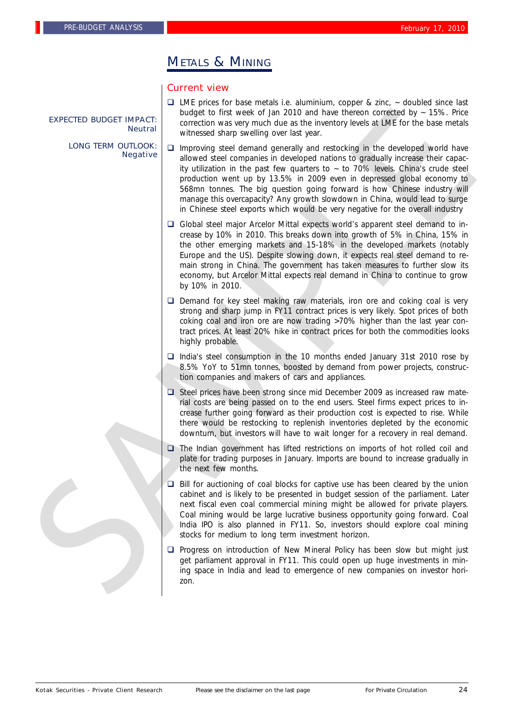# METALS & MINING

## Current view

- $\Box$  LME prices for base metals i.e. aluminium, copper & zinc,  $\sim$  doubled since last budget to first week of Jan 2010 and have thereon corrected by  $\sim$  15%. Price correction was very much due as the inventory levels at LME for the base metals witnessed sharp swelling over last year.
- $\Box$  Improving steel demand generally and restocking in the developed world have allowed steel companies in developed nations to gradually increase their capacity utilization in the past few quarters to  $\sim$  to 70% levels. China's crude steel production went up by 13.5% in 2009 even in depressed global economy to 568mn tonnes. The big question going forward is how Chinese industry will manage this overcapacity? Any growth slowdown in China, would lead to surge in Chinese steel exports which would be very negative for the overall industry EXPECTED BLUGET INPEACT:<br>
between the matter of which will be a 2010 and the will be a 2018 and the second properties of the second particles of the second particles of the second particles of the second particles of the
	- □ Global steel major Arcelor Mittal expects world's apparent steel demand to increase by 10% in 2010. This breaks down into growth of 5% in China, 15% in the other emerging markets and 15-18% in the developed markets (notably Europe and the US). Despite slowing down, it expects real steel demand to remain strong in China. The government has taken measures to further slow its economy, but Arcelor Mittal expects real demand in China to continue to grow by 10% in 2010.
	- $\Box$  Demand for key steel making raw materials, iron ore and coking coal is very strong and sharp jump in FY11 contract prices is very likely. Spot prices of both coking coal and iron ore are now trading >70% higher than the last year contract prices. At least 20% hike in contract prices for both the commodities looks highly probable.
	- $\Box$  India's steel consumption in the 10 months ended January 31st 2010 rose by 8.5% YoY to 51mn tonnes, boosted by demand from power projects, construction companies and makers of cars and appliances.
	- $\Box$  Steel prices have been strong since mid December 2009 as increased raw material costs are being passed on to the end users. Steel firms expect prices to increase further going forward as their production cost is expected to rise. While there would be restocking to replenish inventories depleted by the economic downturn, but investors will have to wait longer for a recovery in real demand.
	- $\Box$  The Indian government has lifted restrictions on imports of hot rolled coil and plate for trading purposes in January. Imports are bound to increase gradually in the next few months.
	- $\Box$  Bill for auctioning of coal blocks for captive use has been cleared by the union cabinet and is likely to be presented in budget session of the parliament. Later next fiscal even coal commercial mining might be allowed for private players. Coal mining would be large lucrative business opportunity going forward. Coal India IPO is also planned in FY11. So, investors should explore coal mining stocks for medium to long term investment horizon.
	- $\Box$  Progress on introduction of New Mineral Policy has been slow but might just get parliament approval in FY11. This could open up huge investments in mining space in India and lead to emergence of new companies on investor horizon.

EXPECTED BUDGET IMPACT: Neutral

LONG TERM OUTLOOK: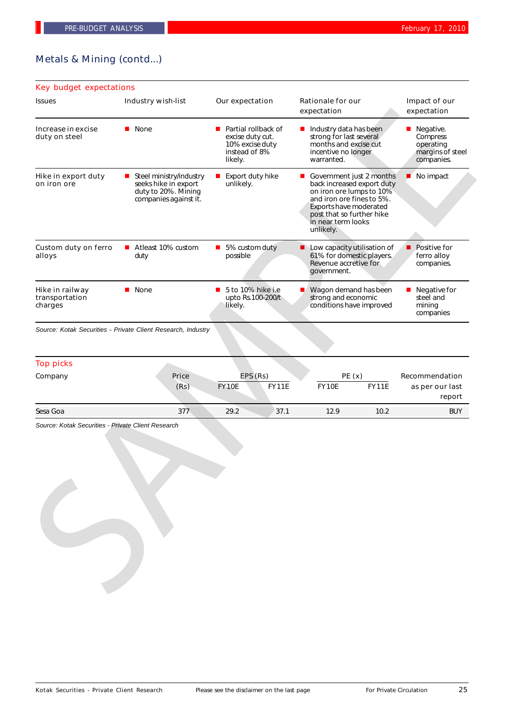## Metals & Mining (contd...)

| <b>Rationale for our</b><br>Our expectation<br>Impact of our<br>expectation<br>expectation<br>■ Partial rollback of<br>Industry data has been<br><b>Negative.</b><br>excise duty cut.<br>strong for last several<br>Compress<br>10% excise duty<br>months and excise cut<br>operating<br>instead of 8%<br>incentive no longer<br>margins of steel<br>warranted.<br>companies.<br>No impact<br>■ Export duty hike<br>Government just 2 months<br>■<br>back increased export duty<br>on iron ore lumps to 10%<br>and iron ore fines to 5%.<br>Exports have moderated<br>post that so further hike<br>in near term looks<br>unlikely.<br>■ 5% custom duty<br>Low capacity utilisation of<br><b>Positive for</b><br>61% for domestic players.<br>ferro alloy<br>Revenue accretive for<br>companies. |
|-------------------------------------------------------------------------------------------------------------------------------------------------------------------------------------------------------------------------------------------------------------------------------------------------------------------------------------------------------------------------------------------------------------------------------------------------------------------------------------------------------------------------------------------------------------------------------------------------------------------------------------------------------------------------------------------------------------------------------------------------------------------------------------------------|
|                                                                                                                                                                                                                                                                                                                                                                                                                                                                                                                                                                                                                                                                                                                                                                                                 |
|                                                                                                                                                                                                                                                                                                                                                                                                                                                                                                                                                                                                                                                                                                                                                                                                 |
|                                                                                                                                                                                                                                                                                                                                                                                                                                                                                                                                                                                                                                                                                                                                                                                                 |
| government.                                                                                                                                                                                                                                                                                                                                                                                                                                                                                                                                                                                                                                                                                                                                                                                     |
| $\blacksquare$ 5 to 10% hike i.e<br>Wagon demand has been<br>Negative for<br>■<br>$\blacksquare$<br>strong and economic<br>steel and<br>upto Rs.100-200/t<br>conditions have improved<br>mining<br>companies                                                                                                                                                                                                                                                                                                                                                                                                                                                                                                                                                                                    |
| EPS (Rs)<br>PE(x)<br><b>Recommendation</b>                                                                                                                                                                                                                                                                                                                                                                                                                                                                                                                                                                                                                                                                                                                                                      |
| <b>FY11E</b><br><b>FY10E</b><br><b>FY11E</b><br>as per our last<br>report                                                                                                                                                                                                                                                                                                                                                                                                                                                                                                                                                                                                                                                                                                                       |
| 37.1<br>10.2<br>12.9<br><b>BUY</b>                                                                                                                                                                                                                                                                                                                                                                                                                                                                                                                                                                                                                                                                                                                                                              |
|                                                                                                                                                                                                                                                                                                                                                                                                                                                                                                                                                                                                                                                                                                                                                                                                 |

| <b>Top picks</b> |               |                          |              |                |              |                                             |
|------------------|---------------|--------------------------|--------------|----------------|--------------|---------------------------------------------|
| Company          | Price<br>(Rs) | EPS (Rs)<br><b>FY10E</b> | <b>FY11E</b> | PE(x)<br>FY10E | <b>FY11E</b> | Recommendation<br>as per our last<br>report |
| Sesa Goa         | 377           | 29.2                     | 37.1         | 12.9           | 10.2         | <b>BUY</b>                                  |

Kotak Securities - Private Client Research Please see the disclaimer on the last page For Private Circulation 25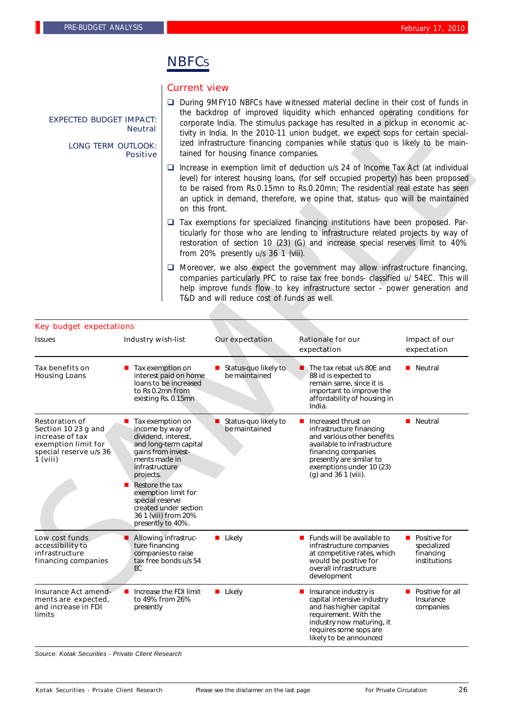# **NBFCs**

## Current view

- □ During 9MFY10 NBFCs have witnessed material decline in their cost of funds in the backdrop of improved liquidity which enhanced operating conditions for corporate India. The stimulus package has resulted in a pickup in economic activity in India. In the 2010-11 union budget, we expect sops for certain specialized infrastructure financing companies while status quo is likely to be maintained for housing finance companies.
- $\square$  Increase in exemption limit of deduction u/s 24 of Income Tax Act (at individual level) for interest housing loans, (for self occupied property) has been proposed to be raised from Rs.0.15mn to Rs.0.20mn; The residential real estate has seen an uptick in demand, therefore, we opine that, status- quo will be maintained on this front.
- $\Box$  Tax exemptions for specialized financing institutions have been proposed. Particularly for those who are lending to infrastructure related projects by way of restoration of section 10 (23) (G) and increase special reserves limit to 40% from 20% presently u/s 36 1 (viii).
- $\Box$  Moreover, we also expect the government may allow infrastructure financing, companies particularly PFC to raise tax free bonds- classified u/ 54EC. This will help improve funds flow to key infrastructure sector - power generation and T&D and will reduce cost of funds as well.

| <b>EXPECTED BUDGET IMPACT:</b><br><b>LONG TERM OUTLOOK:</b>                                                                  | <b>Neutral</b><br><b>Positive</b>                                                                                     |                                                                                                                                                                                                                                                                                                                                                                   | tained for housing finance companies.      | the backdrop of improved liquidity which enhanced operating conditions for<br>corporate India. The stimulus package has resulted in a pickup in economic ac-<br>tivity in India. In the 2010-11 union budget, we expect sops for certain special-<br>ized infrastructure financing companies while status quo is likely to be main- |                                                            |  |
|------------------------------------------------------------------------------------------------------------------------------|-----------------------------------------------------------------------------------------------------------------------|-------------------------------------------------------------------------------------------------------------------------------------------------------------------------------------------------------------------------------------------------------------------------------------------------------------------------------------------------------------------|--------------------------------------------|-------------------------------------------------------------------------------------------------------------------------------------------------------------------------------------------------------------------------------------------------------------------------------------------------------------------------------------|------------------------------------------------------------|--|
|                                                                                                                              |                                                                                                                       | $\Box$ Increase in exemption limit of deduction u/s 24 of Income Tax Act (at individual<br>level) for interest housing loans, (for self occupied property) has been proposed<br>to be raised from Rs.0.15mn to Rs.0.20mn; The residential real estate has seen<br>an uptick in demand, therefore, we opine that, status- quo will be maintained<br>on this front. |                                            |                                                                                                                                                                                                                                                                                                                                     |                                                            |  |
|                                                                                                                              |                                                                                                                       |                                                                                                                                                                                                                                                                                                                                                                   | from 20% presently u/s 36 1 (viii).        | $\square$ Tax exemptions for specialized financing institutions have been proposed. Par-<br>ticularly for those who are lending to infrastructure related projects by way of<br>restoration of section 10 (23) (G) and increase special reserves limit to 40%                                                                       |                                                            |  |
|                                                                                                                              |                                                                                                                       |                                                                                                                                                                                                                                                                                                                                                                   | T&D and will reduce cost of funds as well. | $\Box$ Moreover, we also expect the government may allow infrastructure financing,<br>companies particularly PFC to raise tax free bonds- classified u/ 54EC. This will<br>help improve funds flow to key infrastructure sector - power generation and                                                                              |                                                            |  |
| <b>Key budget expectations</b><br><b>Issues</b>                                                                              | Industry wish-list                                                                                                    |                                                                                                                                                                                                                                                                                                                                                                   | <b>Our expectation</b>                     | <b>Rationale for our</b>                                                                                                                                                                                                                                                                                                            | Impact of our                                              |  |
|                                                                                                                              |                                                                                                                       |                                                                                                                                                                                                                                                                                                                                                                   |                                            | expectation                                                                                                                                                                                                                                                                                                                         | expectation                                                |  |
| Tax benefits on<br><b>Housing Loans</b>                                                                                      | <b>Tax exemption on</b><br>interest paid on home<br>loans to be increased<br>to Rs 0.2mn from<br>existing Rs. 0.15mn  |                                                                                                                                                                                                                                                                                                                                                                   | Status-quo likely to<br>ш<br>be maintained | The tax rebat u/s 80E and<br>88 id is expected to<br>remain same, since it is<br>important to improve the<br>affordability of housing in<br>India.                                                                                                                                                                                  | <b>Neutral</b>                                             |  |
| <b>Restoration of</b><br>Section 10 23 g and<br>increase of tax<br>exemption limit for<br>special reserve u/s 36<br>1 (viii) | $\blacksquare$ Tax exemption on<br>ments made in<br>infrastructure<br>projects.<br>Restore the tax<br>special reserve | income by way of<br>dividend, interest,<br>and long-term capital<br>gains from invest-<br>exemption limit for<br>created under section<br>36 1 (viii) from 20%<br>presently to 40%.                                                                                                                                                                               | Status-quo likely to<br>be maintained      | Increased thrust on<br>ш<br>infrastructure financing<br>and various other benefits<br>available to infrastructure<br>financing companies<br>presently are similar to<br>exemptions under 10 (23)<br>(g) and 36 1 (viii).                                                                                                            | <b>Neutral</b>                                             |  |
| Low cost funds<br>accessibility to<br>infrastructure<br>financing companies                                                  | ture financing<br>EC                                                                                                  | Allowing infrastruc-<br>companies to raise<br>tax free bonds u/s 54                                                                                                                                                                                                                                                                                               | $\blacksquare$ Likely                      | Funds will be available to<br>infrastructure companies<br>at competitive rates, which<br>would be positive for<br>overall infrastructure<br>development                                                                                                                                                                             | ■ Positive for<br>specialized<br>financing<br>institutions |  |
| <b>Insurance Act amend-</b><br>ments are expected,<br>and increase in FDI<br>limits                                          | presently                                                                                                             | Increase the FDI limit<br>to 49% from 26%                                                                                                                                                                                                                                                                                                                         | <b>Likely</b>                              | Insurance industry is<br>ш<br>capital intensive industry<br>and has higher capital<br>requirement. With the<br>industry now maturing, it<br>requires some sops are<br>likely to be announced                                                                                                                                        | ■ Positive for all<br>Insurance<br>companies               |  |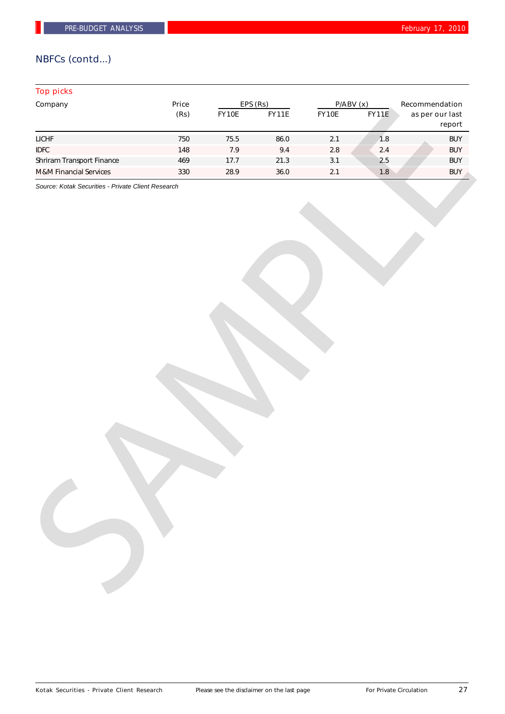## NBFCs (contd...)

## Top picks

| Company                           | Price | EPS (Rs) |              | P/ABV(x) |              | Recommendation            |  |
|-----------------------------------|-------|----------|--------------|----------|--------------|---------------------------|--|
|                                   | (Rs)  | FY10E    | <b>FY11E</b> | FY10E    | <b>FY11E</b> | as per our last<br>report |  |
| <b>LICHF</b>                      | 750   | 75.5     | 86.0         | $2.1$    | 1.8          | <b>BUY</b>                |  |
| <b>IDFC</b>                       | 148   | $7.9$    | 9.4          | $2.8\,$  | $2.4$        | <b>BUY</b>                |  |
| Shriram Transport Finance         | 469   | 17.7     | 21.3         | $3.1\,$  | $2.5$        | <b>BUY</b>                |  |
| <b>M&amp;M Financial Services</b> | 330   | 28.9     | $36.0\,$     | $2.1$    | 1.8          | <b>BUY</b>                |  |
|                                   |       |          |              |          |              |                           |  |
|                                   |       |          |              |          |              |                           |  |
|                                   |       |          |              |          |              |                           |  |
|                                   |       |          |              |          |              |                           |  |
|                                   |       |          |              |          |              |                           |  |
|                                   |       |          |              |          |              |                           |  |
|                                   |       |          |              |          |              |                           |  |
|                                   |       |          |              |          |              |                           |  |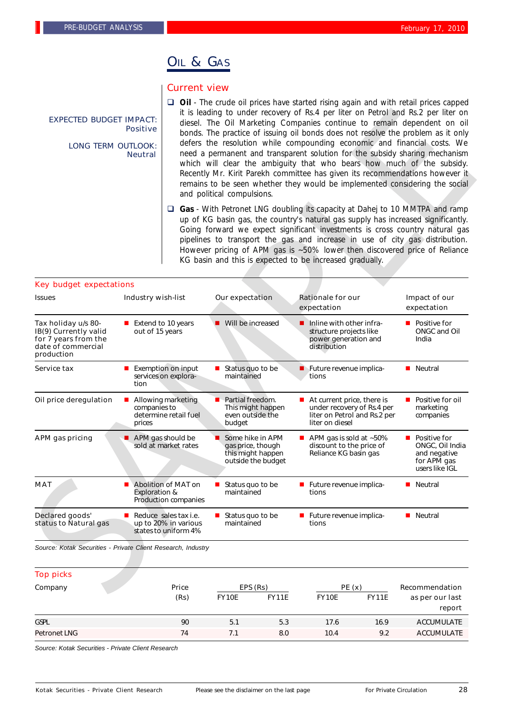## OIL & GAS

#### Current view

**Dil** - The crude oil prices have started rising again and with retail prices capped it is leading to under recovery of Rs.4 per liter on Petrol and Rs.2 per liter on diesel. The Oil Marketing Companies continue to remain dependent on oil bonds. The practice of issuing oil bonds does not resolve the problem as it only defers the resolution while compounding economic and financial costs. We need a permanent and transparent solution for the subsidy sharing mechanism which will clear the ambiguity that who bears how much of the subsidy. Recently Mr. Kirit Parekh committee has given its recommendations however it remains to be seen whether they would be implemented considering the social and political compulsions. EXPECTED BUDGET IMPACT: Positive LONG TERM OUTLOOK: Neutral

| <b>EXPECTED BUDGET IMPACT:</b><br><b>Positive</b><br><b>LONG TERM OUTLOOK:</b><br><b>Neutral</b>         |                                                                            | it is leading to under recovery of Rs.4 per liter on Petrol and Rs.2 per liter on<br>diesel. The Oil Marketing Companies continue to remain dependent on oil<br>bonds. The practice of issuing oil bonds does not resolve the problem as it only<br>defers the resolution while compounding economic and financial costs. We<br>need a permanent and transparent solution for the subsidy sharing mechanism<br>which will clear the ambiguity that who bears how much of the subsidy.<br>Recently Mr. Kirit Parekh committee has given its recommendations however it<br>remains to be seen whether they would be implemented considering the social<br>and political compulsions. |                                                                                  |                                                                                                                                                                                                                                                                                                                                                                                                                                                                              |                                                                                    |  |
|----------------------------------------------------------------------------------------------------------|----------------------------------------------------------------------------|------------------------------------------------------------------------------------------------------------------------------------------------------------------------------------------------------------------------------------------------------------------------------------------------------------------------------------------------------------------------------------------------------------------------------------------------------------------------------------------------------------------------------------------------------------------------------------------------------------------------------------------------------------------------------------|----------------------------------------------------------------------------------|------------------------------------------------------------------------------------------------------------------------------------------------------------------------------------------------------------------------------------------------------------------------------------------------------------------------------------------------------------------------------------------------------------------------------------------------------------------------------|------------------------------------------------------------------------------------|--|
|                                                                                                          |                                                                            |                                                                                                                                                                                                                                                                                                                                                                                                                                                                                                                                                                                                                                                                                    |                                                                                  | □ Gas - With Petronet LNG doubling its capacity at Dahej to 10 MMTPA and ramp<br>up of KG basin gas, the country's natural gas supply has increased significantly.<br>Going forward we expect significant investments is cross country natural gas<br>pipelines to transport the gas and increase in use of city gas distribution.<br>However pricing of APM gas is ~50% lower then discovered price of Reliance<br>KG basin and this is expected to be increased gradually. |                                                                                    |  |
| <b>Key budget expectations</b>                                                                           |                                                                            |                                                                                                                                                                                                                                                                                                                                                                                                                                                                                                                                                                                                                                                                                    |                                                                                  |                                                                                                                                                                                                                                                                                                                                                                                                                                                                              |                                                                                    |  |
| <b>Issues</b>                                                                                            | <b>Industry wish-list</b>                                                  |                                                                                                                                                                                                                                                                                                                                                                                                                                                                                                                                                                                                                                                                                    | Our expectation                                                                  | <b>Rationale for our</b><br>expectation                                                                                                                                                                                                                                                                                                                                                                                                                                      | Impact of our<br>expectation                                                       |  |
| Tax holiday u/s 80-<br>IB(9) Currently valid<br>for 7 years from the<br>date of commercial<br>production | ■ Extend to 10 years<br>out of 15 years                                    |                                                                                                                                                                                                                                                                                                                                                                                                                                                                                                                                                                                                                                                                                    | Will be increased                                                                | Inline with other infra-<br>■<br>structure projects like<br>power generation and<br>distribution                                                                                                                                                                                                                                                                                                                                                                             | ■ Positive for<br>ONGC and Oil<br>India                                            |  |
| Service tax                                                                                              | <b>Exemption on input</b><br>services on explora-<br>tion                  |                                                                                                                                                                                                                                                                                                                                                                                                                                                                                                                                                                                                                                                                                    | Status quo to be<br>maintained                                                   | Future revenue implica-<br>tions                                                                                                                                                                                                                                                                                                                                                                                                                                             | <b>Neutral</b>                                                                     |  |
| Oil price deregulation                                                                                   | Allowing marketing<br>ш<br>companies to<br>determine retail fuel<br>prices |                                                                                                                                                                                                                                                                                                                                                                                                                                                                                                                                                                                                                                                                                    | Partial freedom.<br>This might happen<br>even outside the<br>budget              | $\blacksquare$ At current price, there is<br>under recovery of Rs.4 per<br>liter on Petrol and Rs.2 per<br>liter on diesel                                                                                                                                                                                                                                                                                                                                                   | ■ Positive for oil<br>marketing<br>companies                                       |  |
| <b>APM</b> gas pricing                                                                                   | APM gas should be<br>sold at market rates                                  |                                                                                                                                                                                                                                                                                                                                                                                                                                                                                                                                                                                                                                                                                    | Some hike in APM<br>gas price, though<br>this might happen<br>outside the budget | APM gas is sold at ~50%<br>discount to the price of<br>Reliance KG basin gas                                                                                                                                                                                                                                                                                                                                                                                                 | ■ Positive for<br>ONGC, Oil India<br>and negative<br>for APM gas<br>users like IGL |  |
| <b>MAT</b>                                                                                               | Abolition of MAT on<br><b>Exploration &amp;</b><br>Production companies    |                                                                                                                                                                                                                                                                                                                                                                                                                                                                                                                                                                                                                                                                                    | Status quo to be<br>maintained                                                   | Future revenue implica-<br>tions                                                                                                                                                                                                                                                                                                                                                                                                                                             | Neutral                                                                            |  |
| Declared goods'<br>status to Natural gas                                                                 | Reduce sales tax i.e.<br>up to 20% in various<br>states to uniform 4%      |                                                                                                                                                                                                                                                                                                                                                                                                                                                                                                                                                                                                                                                                                    | Status quo to be<br>maintained                                                   | Future revenue implica-<br>tions                                                                                                                                                                                                                                                                                                                                                                                                                                             | <b>Neutral</b>                                                                     |  |
| Source: Kotak Securities - Private Client Research, Industry                                             |                                                                            |                                                                                                                                                                                                                                                                                                                                                                                                                                                                                                                                                                                                                                                                                    |                                                                                  |                                                                                                                                                                                                                                                                                                                                                                                                                                                                              |                                                                                    |  |
| <b>Top picks</b>                                                                                         |                                                                            |                                                                                                                                                                                                                                                                                                                                                                                                                                                                                                                                                                                                                                                                                    |                                                                                  |                                                                                                                                                                                                                                                                                                                                                                                                                                                                              |                                                                                    |  |
| Company                                                                                                  |                                                                            | Price                                                                                                                                                                                                                                                                                                                                                                                                                                                                                                                                                                                                                                                                              | EPS (Rs)                                                                         | PE(x)                                                                                                                                                                                                                                                                                                                                                                                                                                                                        | Recommendation                                                                     |  |
|                                                                                                          |                                                                            | (P <sub>S</sub> )                                                                                                                                                                                                                                                                                                                                                                                                                                                                                                                                                                                                                                                                  | <b>FV10F</b><br>FV11F                                                            | <b>FV10F</b><br>FV11F                                                                                                                                                                                                                                                                                                                                                                                                                                                        | as ner our last                                                                    |  |

# Top picks Company **Price** Price **EPS (Rs)** PE (x) Recommendation (Rs) FY10E FY11E FY10E FY11E as per our last report GSPL 90 5.1 5.3 17.6 16.9 ACCUMULATE Petronet LNG 74 7.1 8.0 10.4 9.2 ACCUMULATE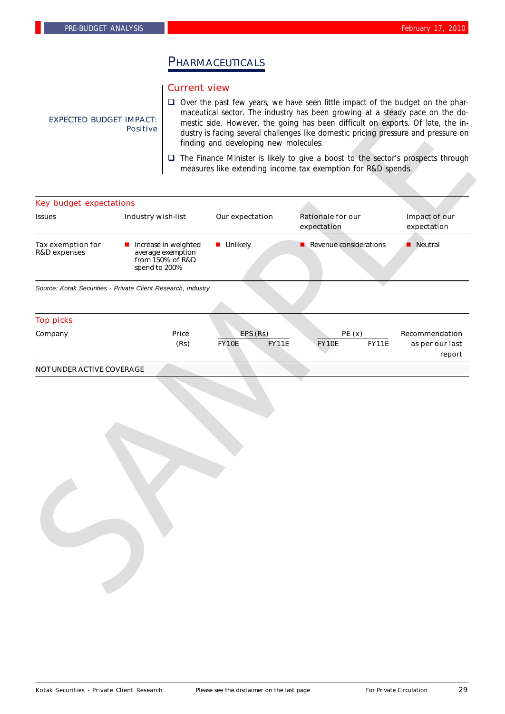# PHARMACEUTICALS

#### Current view

EXPECTED BUDGET IMPACT: Positive

- $\Box$  Over the past few years, we have seen little impact of the budget on the pharmaceutical sector. The industry has been growing at a steady pace on the domestic side. However, the going has been difficult on exports. Of late, the industry is facing several challenges like domestic pricing pressure and pressure on finding and developing new molecules.
- $\Box$  The Finance Minister is likely to give a boost to the sector's prospects through measures like extending income tax exemption for R&D spends.

## Increase in weighted average exemption from 150% of R&D spend to 200% Tax exemption for R&D expenses **n** Unlikely **n** Revenue considerations **n** Neutral Key budget expectations Issues **Industry wish-list** Our expectation Rationale for our Impact of our expectation expectation *Source: Kotak Securities - Private Client Research, Industry* Top picks Company Price EPS (Rs) PE (x) Recommendation (Rs) FY10E FY11E FY10E FY11E as per our last report

#### NOT UNDER ACTIVE COVERAGE

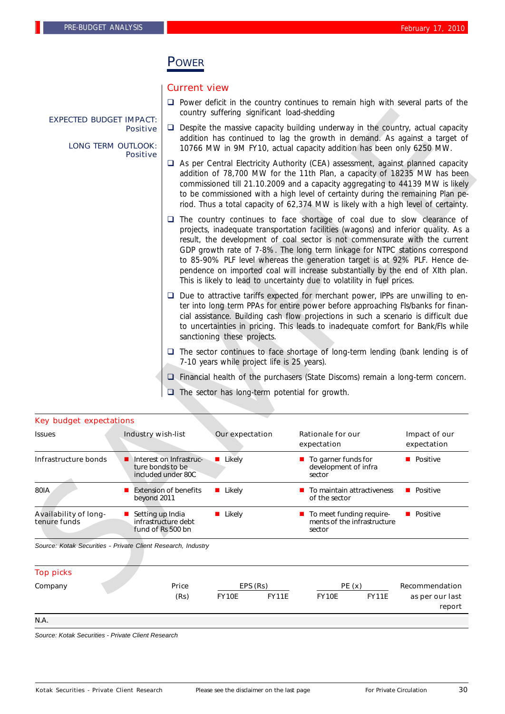## POWER

## Current view

- $\Box$  Power deficit in the country continues to remain high with several parts of the country suffering significant load-shedding
- $\Box$  Despite the massive capacity building underway in the country, actual capacity addition has continued to lag the growth in demand. As against a target of 10766 MW in 9M FY10, actual capacity addition has been only 6250 MW.
	- $\Box$  As per Central Electricity Authority (CEA) assessment, against planned capacity addition of 78,700 MW for the 11th Plan, a capacity of 18235 MW has been commissioned till 21.10.2009 and a capacity aggregating to 44139 MW is likely to be commissioned with a high level of certainty during the remaining Plan period. Thus a total capacity of 62,374 MW is likely with a high level of certainty.
	- $\Box$  The country continues to face shortage of coal due to slow clearance of projects, inadequate transportation facilities (wagons) and inferior quality. As a result, the development of coal sector is not commensurate with the current GDP growth rate of 7-8%. The long term linkage for NTPC stations correspond to 85-90% PLF level whereas the generation target is at 92% PLF. Hence dependence on imported coal will increase substantially by the end of XIth plan. This is likely to lead to uncertainty due to volatility in fuel prices.
	- $\Box$  Due to attractive tariffs expected for merchant power, IPPs are unwilling to enter into long term PPAs for entire power before approaching FIs/banks for financial assistance. Building cash flow projections in such a scenario is difficult due to uncertainties in pricing. This leads to inadequate comfort for Bank/FIs while sanctioning these projects.
	- $\Box$  The sector continues to face shortage of long-term lending (bank lending is of 7-10 years while project life is 25 years).
- $\square$  Financial health of the purchasers (State Discoms) remain a long-term concern.
- $\Box$  The sector has long-term potential for growth.

| <b>Key budget expectations</b><br><b>Issues</b><br>Infrastructure bonds<br><b>80IA</b><br><b>Availability of long-</b><br>tenure funds<br>Source: Kotak Securities - Private Client Research, Industry<br><b>Top picks</b><br>Company | Industry wish-list<br>Interest on Infrastruc-<br>ture bonds to be<br>included under 80C<br>$\blacksquare$ Extension of benefits<br>beyond 2011<br>Setting up India<br>infrastructure debt<br>fund of Rs 500 bn | Price | $\Box$ The sector has long-term potential for growth.<br>Our expectation<br><b>Likely</b><br>■ Likely<br>■ Likely<br>EPS (Rs) | $\Box$ Financial health of the purchasers (State Discoms) remain a long-term concern.<br><b>Rationale for our</b><br>expectation<br>■ To garner funds for<br>development of infra<br>sector<br>$\blacksquare$ To maintain attractiveness<br>of the sector<br>To meet funding require-<br>ments of the infrastructure<br>sector<br>PE(x)                                                                                                                                                            | Impact of our<br>expectation<br><b>Positive</b><br><b>Positive</b><br><b>Positive</b><br>Recommendation                                            |  |  |
|---------------------------------------------------------------------------------------------------------------------------------------------------------------------------------------------------------------------------------------|----------------------------------------------------------------------------------------------------------------------------------------------------------------------------------------------------------------|-------|-------------------------------------------------------------------------------------------------------------------------------|----------------------------------------------------------------------------------------------------------------------------------------------------------------------------------------------------------------------------------------------------------------------------------------------------------------------------------------------------------------------------------------------------------------------------------------------------------------------------------------------------|----------------------------------------------------------------------------------------------------------------------------------------------------|--|--|
|                                                                                                                                                                                                                                       |                                                                                                                                                                                                                |       |                                                                                                                               |                                                                                                                                                                                                                                                                                                                                                                                                                                                                                                    |                                                                                                                                                    |  |  |
|                                                                                                                                                                                                                                       |                                                                                                                                                                                                                |       |                                                                                                                               |                                                                                                                                                                                                                                                                                                                                                                                                                                                                                                    |                                                                                                                                                    |  |  |
|                                                                                                                                                                                                                                       |                                                                                                                                                                                                                |       |                                                                                                                               |                                                                                                                                                                                                                                                                                                                                                                                                                                                                                                    |                                                                                                                                                    |  |  |
|                                                                                                                                                                                                                                       |                                                                                                                                                                                                                |       |                                                                                                                               |                                                                                                                                                                                                                                                                                                                                                                                                                                                                                                    |                                                                                                                                                    |  |  |
|                                                                                                                                                                                                                                       |                                                                                                                                                                                                                |       |                                                                                                                               |                                                                                                                                                                                                                                                                                                                                                                                                                                                                                                    |                                                                                                                                                    |  |  |
|                                                                                                                                                                                                                                       |                                                                                                                                                                                                                |       |                                                                                                                               |                                                                                                                                                                                                                                                                                                                                                                                                                                                                                                    |                                                                                                                                                    |  |  |
|                                                                                                                                                                                                                                       |                                                                                                                                                                                                                |       |                                                                                                                               |                                                                                                                                                                                                                                                                                                                                                                                                                                                                                                    |                                                                                                                                                    |  |  |
|                                                                                                                                                                                                                                       |                                                                                                                                                                                                                |       |                                                                                                                               |                                                                                                                                                                                                                                                                                                                                                                                                                                                                                                    |                                                                                                                                                    |  |  |
|                                                                                                                                                                                                                                       |                                                                                                                                                                                                                |       |                                                                                                                               |                                                                                                                                                                                                                                                                                                                                                                                                                                                                                                    |                                                                                                                                                    |  |  |
|                                                                                                                                                                                                                                       |                                                                                                                                                                                                                |       | 7-10 years while project life is 25 years).                                                                                   | $\Box$ The sector continues to face shortage of long-term lending (bank lending is of                                                                                                                                                                                                                                                                                                                                                                                                              |                                                                                                                                                    |  |  |
|                                                                                                                                                                                                                                       |                                                                                                                                                                                                                |       | sanctioning these projects.                                                                                                   | $\Box$ Due to attractive tariffs expected for merchant power, IPPs are unwilling to en-<br>ter into long term PPAs for entire power before approaching FIs/banks for finan-<br>cial assistance. Building cash flow projections in such a scenario is difficult due<br>to uncertainties in pricing. This leads to inadequate comfort for Bank/Fls while                                                                                                                                             |                                                                                                                                                    |  |  |
|                                                                                                                                                                                                                                       |                                                                                                                                                                                                                |       |                                                                                                                               | This is likely to lead to uncertainty due to volatility in fuel prices.                                                                                                                                                                                                                                                                                                                                                                                                                            |                                                                                                                                                    |  |  |
|                                                                                                                                                                                                                                       |                                                                                                                                                                                                                |       |                                                                                                                               | $\Box$ The country continues to face shortage of coal due to slow clearance of<br>projects, inadequate transportation facilities (wagons) and inferior quality. As a<br>result, the development of coal sector is not commensurate with the current<br>GDP growth rate of 7-8%. The long term linkage for NTPC stations correspond<br>to 85-90% PLF level whereas the generation target is at 92% PLF. Hence de-<br>pendence on imported coal will increase substantially by the end of XIth plan. |                                                                                                                                                    |  |  |
|                                                                                                                                                                                                                                       |                                                                                                                                                                                                                |       |                                                                                                                               | $\Box$ As per Central Electricity Authority (CEA) assessment, against planned capacity<br>addition of 78,700 MW for the 11th Plan, a capacity of 18235 MW has been<br>commissioned till 21.10.2009 and a capacity aggregating to 44139 MW is likely<br>to be commissioned with a high level of certainty during the remaining Plan pe-<br>riod. Thus a total capacity of 62,374 MW is likely with a high level of certainty.                                                                       |                                                                                                                                                    |  |  |
|                                                                                                                                                                                                                                       | <b>LONG TERM OUTLOOK:</b><br><b>Positive</b>                                                                                                                                                                   |       |                                                                                                                               |                                                                                                                                                                                                                                                                                                                                                                                                                                                                                                    | addition has continued to lag the growth in demand. As against a target of<br>10766 MW in 9M FY10, actual capacity addition has been only 6250 MW. |  |  |
|                                                                                                                                                                                                                                       | <b>Positive</b>                                                                                                                                                                                                |       |                                                                                                                               | $\Box$ Despite the massive capacity building underway in the country, actual capacity                                                                                                                                                                                                                                                                                                                                                                                                              |                                                                                                                                                    |  |  |
| <b>EXPECTED BUDGET IMPACT:</b>                                                                                                                                                                                                        |                                                                                                                                                                                                                |       | country suffering significant load-shedding                                                                                   |                                                                                                                                                                                                                                                                                                                                                                                                                                                                                                    |                                                                                                                                                    |  |  |

#### Key budget expectations

N.A.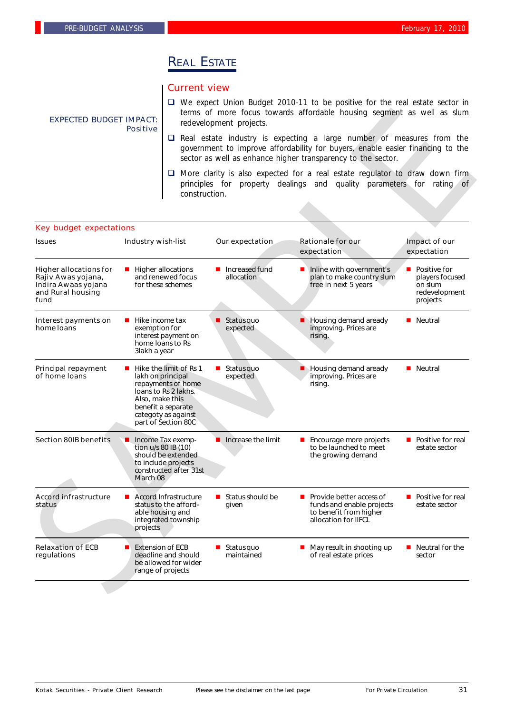# **REAL ESTATE**

## Current view

- □ We expect Union Budget 2010-11 to be positive for the real estate sector in terms of more focus towards affordable housing segment as well as slum redevelopment projects.
- $\square$  Real estate industry is expecting a large number of measures from the government to improve affordability for buyers, enable easier financing to the sector as well as enhance higher transparency to the sector.
- $\Box$  More clarity is also expected for a real estate regulator to draw down firm principles for property dealings and quality parameters for rating of construction.

#### Key budget expectations

| <b>EXPECTED BUDGET IMPACT:</b>                                                                          | <b>Positive</b>                                                                                                                                                                  |                                                                  | terms of more focus towards affordable housing segment as well as slum<br>redevelopment projects.<br>$\Box$ Real estate industry is expecting a large number of measures from the<br>government to improve affordability for buyers, enable easier financing to the<br>sector as well as enhance higher transparency to the sector. |                                                                                                                                                        |                                                                         |  |  |
|---------------------------------------------------------------------------------------------------------|----------------------------------------------------------------------------------------------------------------------------------------------------------------------------------|------------------------------------------------------------------|-------------------------------------------------------------------------------------------------------------------------------------------------------------------------------------------------------------------------------------------------------------------------------------------------------------------------------------|--------------------------------------------------------------------------------------------------------------------------------------------------------|-------------------------------------------------------------------------|--|--|
|                                                                                                         |                                                                                                                                                                                  |                                                                  |                                                                                                                                                                                                                                                                                                                                     |                                                                                                                                                        |                                                                         |  |  |
|                                                                                                         |                                                                                                                                                                                  | construction.                                                    |                                                                                                                                                                                                                                                                                                                                     | □ More clarity is also expected for a real estate regulator to draw down firm<br>principles for property dealings and quality parameters for rating of |                                                                         |  |  |
| <b>Key budget expectations</b>                                                                          |                                                                                                                                                                                  |                                                                  |                                                                                                                                                                                                                                                                                                                                     |                                                                                                                                                        |                                                                         |  |  |
| <b>Issues</b>                                                                                           | <b>Industry wish-list</b>                                                                                                                                                        |                                                                  | Our expectation                                                                                                                                                                                                                                                                                                                     | <b>Rationale for our</b><br>expectation                                                                                                                | Impact of our<br>expectation                                            |  |  |
| <b>Higher allocations for</b><br>Rajiv Awas yojana,<br>Indira Awaas yojana<br>and Rural housing<br>fund | Higher allocations<br>$\blacksquare$<br>and renewed focus<br>for these schemes                                                                                                   |                                                                  | Increased fund<br>allocation                                                                                                                                                                                                                                                                                                        | Inline with government's<br>plan to make country slum<br>free in next 5 years                                                                          | Positive for<br>players focused<br>on slum<br>redevelopment<br>projects |  |  |
| Interest payments on<br>home loans                                                                      | Hike income tax<br>exemption for<br>interest payment on<br>home loans to Rs<br>3lakh a year                                                                                      |                                                                  | Status quo<br>expected                                                                                                                                                                                                                                                                                                              | Housing demand aready<br>improving. Prices are<br>rising.                                                                                              | Neutral<br>ш                                                            |  |  |
| <b>Principal repayment</b><br>of home loans                                                             | Hike the limit of Rs 1<br>lakh on principal<br>repayments of home<br>loans to Rs 2 lakhs.<br>Also, make this<br>benefit a separate<br>categoty as against<br>part of Section 80C |                                                                  | Status quo<br>expected                                                                                                                                                                                                                                                                                                              | Housing demand aready<br>improving. Prices are<br>rising.                                                                                              | <b>Neutral</b>                                                          |  |  |
| <b>Section 80IB benefits</b>                                                                            | Income Tax exemp-<br>■<br>tion u/s 80 IB (10)<br>should be extended<br>to include projects<br>constructed after 31st<br>March 08                                                 |                                                                  | Increase the limit                                                                                                                                                                                                                                                                                                                  | Encourage more projects<br>to be launched to meet<br>the growing demand                                                                                | ■ Positive for real<br>estate sector                                    |  |  |
| <b>Accord infrastructure</b><br>status                                                                  | <b>Accord Infrastructure</b><br>ш<br>status to the afford-<br>able housing and<br>integrated township<br>projects                                                                |                                                                  | $\blacksquare$ Status should be<br>given                                                                                                                                                                                                                                                                                            | Provide better access of<br>funds and enable projects<br>to benefit from higher<br>allocation for IIFCL                                                | ■ Positive for real<br>estate sector                                    |  |  |
| <b>Relaxation of ECB</b><br>regulations                                                                 | <b>Extension of ECB</b>                                                                                                                                                          | deadline and should<br>be allowed for wider<br>range of projects | Status quo<br>maintained                                                                                                                                                                                                                                                                                                            | May result in shooting up<br>of real estate prices                                                                                                     | Neutral for the<br>$\blacksquare$<br>sector                             |  |  |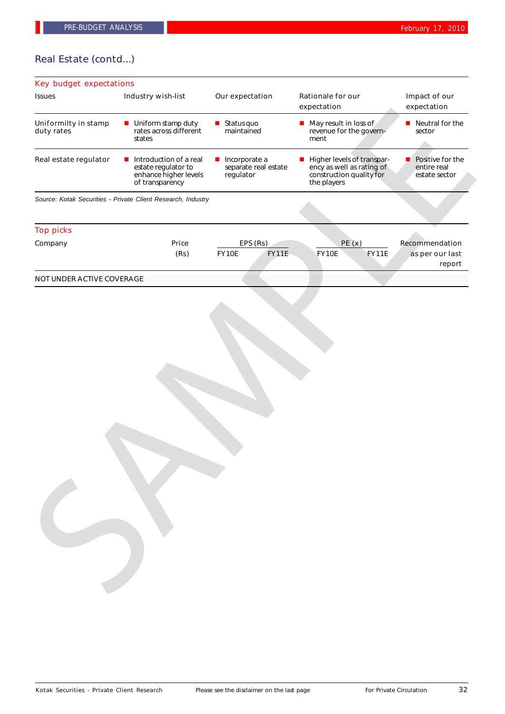## Real Estate (contd...)

# Key budget expectations Issues **Industry wish-list** Our expectation Rationale for our Impact of our expectation expectation *Source: Kotak Securities - Private Client Research, Industry* Top picks Company Price EPS (Rs) PE (x) Recommendation (Rs) FY10E FY11E FY10E FY11E as per our last report NOT UNDER ACTIVE COVERAGE  $\blacksquare$  Uniform stamp duty rates across different states Uniformilty in stamp duty rates  $\blacksquare$  Status quo maintained  $\blacksquare$  May result in loss of revenue for the government  $\blacksquare$  Neutral for the sector  $\blacksquare$  Introduction of a real estate regulator to enhance higher levels of transparency Real estate regulator **n** Introduction of a real **n** Incorporate a separate real estate regulator **Higher levels of transpar**ency as well as rating of construction quality for the players  $\blacksquare$  Positive for the entire real<br>estate sector estate international control of the state of the state of the state of the state of the state of the state of the state of the state of the state of the state of the state of the state of the state of the state of the stat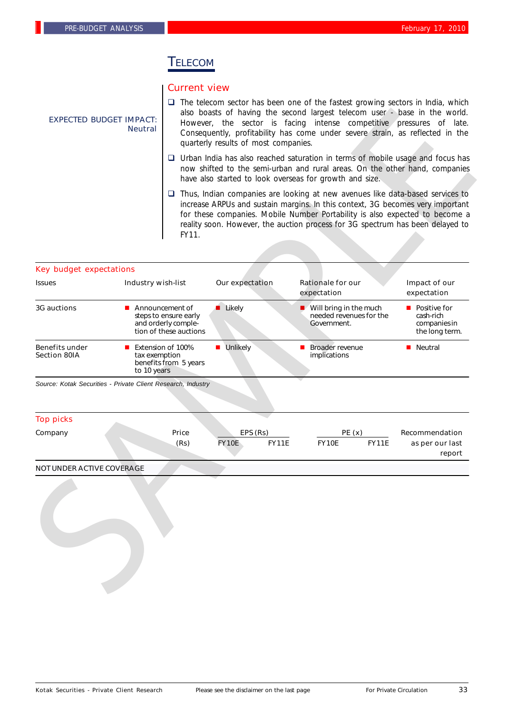## TELECOM

### Current view

- $\square$  The telecom sector has been one of the fastest growing sectors in India, which also boasts of having the second largest telecom user - base in the world. However, the sector is facing intense competitive pressures of late. Consequently, profitability has come under severe strain, as reflected in the quarterly results of most companies.
- $\Box$  Urban India has also reached saturation in terms of mobile usage and focus has now shifted to the semi-urban and rural areas. On the other hand, companies have also started to look overseas for growth and size.
- $\Box$  Thus, Indian companies are looking at new avenues like data-based services to increase ARPUs and sustain margins. In this context, 3G becomes very important for these companies. Mobile Number Portability is also expected to become a reality soon. However, the auction process for 3G spectrum has been delayed to FY11.

|                                                              | <b>EXPECTED BUDGET IMPACT:</b><br><b>Neutral</b> | also boasts of having the second largest telecom user - base in the world.<br>However, the sector is facing intense competitive pressures of late.<br>Consequently, profitability has come under severe strain, as reflected in the<br>quarterly results of most companies. |                              |                                                                                                                                                                                                                                                                                                                                         |                                                               |  |
|--------------------------------------------------------------|--------------------------------------------------|-----------------------------------------------------------------------------------------------------------------------------------------------------------------------------------------------------------------------------------------------------------------------------|------------------------------|-----------------------------------------------------------------------------------------------------------------------------------------------------------------------------------------------------------------------------------------------------------------------------------------------------------------------------------------|---------------------------------------------------------------|--|
|                                                              |                                                  |                                                                                                                                                                                                                                                                             |                              | $\Box$ Urban India has also reached saturation in terms of mobile usage and focus has<br>now shifted to the semi-urban and rural areas. On the other hand, companies<br>have also started to look overseas for growth and size.                                                                                                         |                                                               |  |
|                                                              |                                                  | FY11.                                                                                                                                                                                                                                                                       |                              | $\Box$ Thus, Indian companies are looking at new avenues like data-based services to<br>increase ARPUs and sustain margins. In this context, 3G becomes very important<br>for these companies. Mobile Number Portability is also expected to become a<br>reality soon. However, the auction process for 3G spectrum has been delayed to |                                                               |  |
| <b>Key budget expectations</b>                               |                                                  |                                                                                                                                                                                                                                                                             |                              |                                                                                                                                                                                                                                                                                                                                         |                                                               |  |
| <b>Issues</b>                                                | <b>Industry wish-list</b>                        |                                                                                                                                                                                                                                                                             | Our expectation              | <b>Rationale for our</b><br>expectation                                                                                                                                                                                                                                                                                                 | Impact of our<br>expectation                                  |  |
| <b>3G auctions</b>                                           |                                                  | Announcement of<br>steps to ensure early<br>and orderly comple-<br>tion of these auctions                                                                                                                                                                                   | <b>Likely</b>                | $\blacksquare$ Will bring in the much<br>needed revenues for the<br>Government.                                                                                                                                                                                                                                                         | ■ Positive for<br>cash-rich<br>companies in<br>the long term. |  |
| <b>Benefits under</b><br><b>Section 80IA</b>                 | ш<br>tax exemption<br>to 10 years                | Extension of 100%<br>benefits from 5 years                                                                                                                                                                                                                                  | Unlikely<br>п                | Broader revenue<br>implications                                                                                                                                                                                                                                                                                                         | <b>Neutral</b>                                                |  |
| Source: Kotak Securities - Private Client Research, Industry |                                                  |                                                                                                                                                                                                                                                                             |                              |                                                                                                                                                                                                                                                                                                                                         |                                                               |  |
|                                                              |                                                  |                                                                                                                                                                                                                                                                             |                              |                                                                                                                                                                                                                                                                                                                                         |                                                               |  |
|                                                              |                                                  |                                                                                                                                                                                                                                                                             |                              |                                                                                                                                                                                                                                                                                                                                         |                                                               |  |
| <b>Top picks</b><br>Company                                  |                                                  | Price                                                                                                                                                                                                                                                                       | EPS (Rs)                     | PE(x)                                                                                                                                                                                                                                                                                                                                   | Recommendation                                                |  |
|                                                              |                                                  | (Rs)                                                                                                                                                                                                                                                                        | <b>FY10E</b><br><b>FY11E</b> | <b>FY10E</b><br><b>FY11E</b>                                                                                                                                                                                                                                                                                                            | as per our last                                               |  |
| <b>NOT UNDER ACTIVE COVERAGE</b>                             |                                                  |                                                                                                                                                                                                                                                                             |                              |                                                                                                                                                                                                                                                                                                                                         | report                                                        |  |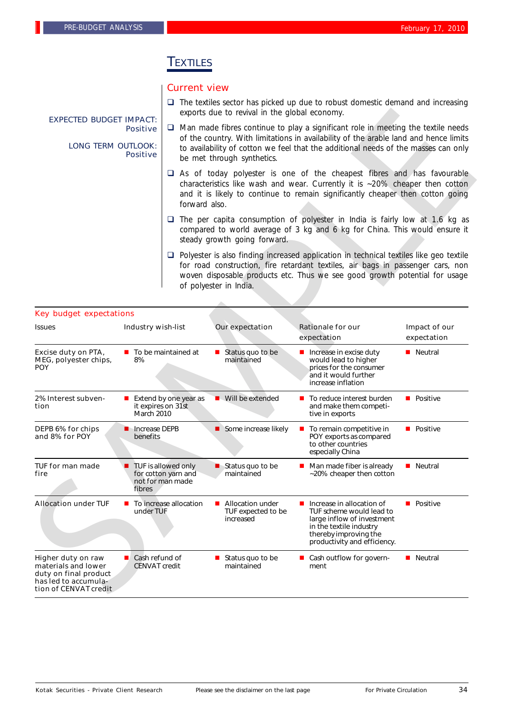## TEXTILES

## Current view

 $\square$  The textiles sector has picked up due to robust domestic demand and increasing exports due to revival in the global economy.

#### $\Box$  Man made fibres continue to play a significant role in meeting the textile needs of the country. With limitations in availability of the arable land and hence limits to availability of cotton we feel that the additional needs of the masses can only be met through synthetics. Positive

- $\Box$  As of today polyester is one of the cheapest fibres and has favourable characteristics like wash and wear. Currently it is ~20% cheaper then cotton and it is likely to continue to remain significantly cheaper then cotton going forward also.
- $\Box$  The per capita consumption of polyester in India is fairly low at 1.6 kg as compared to world average of 3 kg and 6 kg for China. This would ensure it steady growth going forward.
- $\Box$  Polyester is also finding increased application in technical textiles like geo textile for road construction, fire retardant textiles, air bags in passenger cars, non woven disposable products etc. Thus we see good growth potential for usage of polyester in India.

|                                                                                                                     |                                             |                                                                                                                                                                                                                                                                  | exports due to revival in the global economy.                                                                                                                                                                                                                                                       |                                                                                                                                                                                                                                                                |                              |  |  |  |
|---------------------------------------------------------------------------------------------------------------------|---------------------------------------------|------------------------------------------------------------------------------------------------------------------------------------------------------------------------------------------------------------------------------------------------------------------|-----------------------------------------------------------------------------------------------------------------------------------------------------------------------------------------------------------------------------------------------------------------------------------------------------|----------------------------------------------------------------------------------------------------------------------------------------------------------------------------------------------------------------------------------------------------------------|------------------------------|--|--|--|
| <b>EXPECTED BUDGET IMPACT:</b><br><b>Positive</b><br><b>LONG TERM OUTLOOK:</b><br><b>Positive</b>                   |                                             |                                                                                                                                                                                                                                                                  | $\Box$ Man made fibres continue to play a significant role in meeting the textile needs<br>of the country. With limitations in availability of the arable land and hence limits<br>to availability of cotton we feel that the additional needs of the masses can only<br>be met through synthetics. |                                                                                                                                                                                                                                                                |                              |  |  |  |
|                                                                                                                     |                                             | $\Box$ As of today polyester is one of the cheapest fibres and has favourable<br>characteristics like wash and wear. Currently it is ~20% cheaper then cotton<br>and it is likely to continue to remain significantly cheaper then cotton going<br>forward also. |                                                                                                                                                                                                                                                                                                     |                                                                                                                                                                                                                                                                |                              |  |  |  |
|                                                                                                                     |                                             |                                                                                                                                                                                                                                                                  | steady growth going forward.                                                                                                                                                                                                                                                                        | $\Box$ The per capita consumption of polyester in India is fairly low at 1.6 kg as<br>compared to world average of 3 kg and 6 kg for China. This would ensure it                                                                                               |                              |  |  |  |
|                                                                                                                     |                                             |                                                                                                                                                                                                                                                                  | of polyester in India.                                                                                                                                                                                                                                                                              | $\Box$ Polyester is also finding increased application in technical textiles like geo textile<br>for road construction, fire retardant textiles, air bags in passenger cars, non<br>woven disposable products etc. Thus we see good growth potential for usage |                              |  |  |  |
| <b>Key budget expectations</b>                                                                                      |                                             |                                                                                                                                                                                                                                                                  |                                                                                                                                                                                                                                                                                                     |                                                                                                                                                                                                                                                                |                              |  |  |  |
| <b>Issues</b>                                                                                                       | <b>Industry wish-list</b>                   |                                                                                                                                                                                                                                                                  | Our expectation                                                                                                                                                                                                                                                                                     | <b>Rationale for our</b><br>expectation                                                                                                                                                                                                                        | Impact of our<br>expectation |  |  |  |
| Excise duty on PTA,<br>MEG, polyester chips,<br><b>POY</b>                                                          | $\blacksquare$ To be maintained at<br>8%    |                                                                                                                                                                                                                                                                  | $\blacksquare$ Status quo to be<br>maintained                                                                                                                                                                                                                                                       | Increase in excise duty<br>would lead to higher<br>prices for the consumer<br>and it would further<br>increase inflation                                                                                                                                       | ■ Neutral                    |  |  |  |
| 2% Interest subven-<br>tion                                                                                         | it expires on 31st<br>March 2010            | <b>Extend by one year as</b>                                                                                                                                                                                                                                     | ■ Will be extended                                                                                                                                                                                                                                                                                  | ■ To reduce interest burden<br>and make them competi-<br>tive in exports                                                                                                                                                                                       | $\blacksquare$ Positive      |  |  |  |
| DEPB 6% for chips<br>and 8% for POY                                                                                 | <b>n</b> Increase DEPB<br>benefits          |                                                                                                                                                                                                                                                                  | Some increase likely                                                                                                                                                                                                                                                                                | ■ To remain competitive in<br>POY exports as compared<br>to other countries<br>especially China                                                                                                                                                                | $\blacksquare$ Positive      |  |  |  |
| <b>TUF for man made</b><br>fire                                                                                     | fibres                                      | TUF is allowed only<br>for cotton yarn and<br>not for man made                                                                                                                                                                                                   | $\blacksquare$ Status quo to be<br>maintained                                                                                                                                                                                                                                                       | Man made fiber is already<br>~20% cheaper then cotton                                                                                                                                                                                                          | <b>Neutral</b>               |  |  |  |
| <b>Allocation under TUF</b>                                                                                         | under TUF                                   | To increase allocation                                                                                                                                                                                                                                           | <b>Allocation under</b><br>TUF expected to be<br>increased                                                                                                                                                                                                                                          | Increase in allocation of<br>TUF scheme would lead to<br>large inflow of investment<br>in the textile industry<br>thereby improving the<br>productivity and efficiency.                                                                                        | $\blacksquare$ Positive      |  |  |  |
| Higher duty on raw<br>materials and lower<br>duty on final product<br>has led to accumula-<br>tion of CENVAT credit | Cash refund of<br>ш<br><b>CENVAT</b> credit |                                                                                                                                                                                                                                                                  | Status quo to be<br>ш<br>maintained                                                                                                                                                                                                                                                                 | Cash outflow for govern-<br>ment                                                                                                                                                                                                                               | <b>Neutral</b>               |  |  |  |

Kotak Securities - Private Client Research Please see the disclaimer on the last page For Private Circulation 34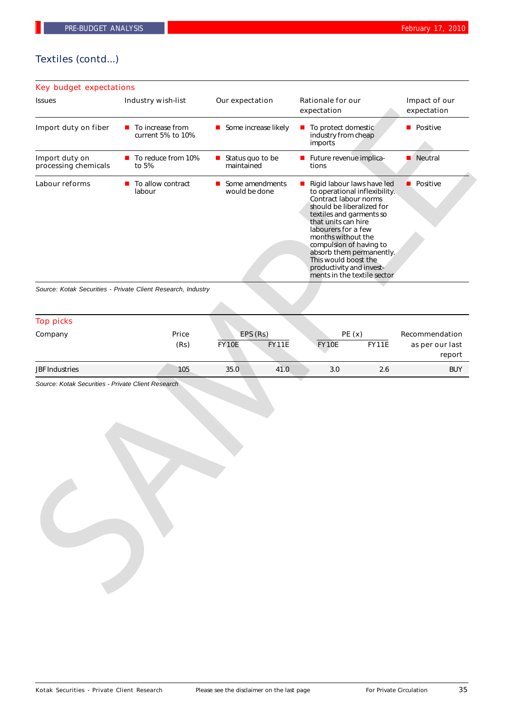## Textiles (contd...)

| <b>Key budget expectations</b>         |                                                              |                                                                                                                                                                                                                                                                                                                                                                                                                 |                                         |                                                    |  |
|----------------------------------------|--------------------------------------------------------------|-----------------------------------------------------------------------------------------------------------------------------------------------------------------------------------------------------------------------------------------------------------------------------------------------------------------------------------------------------------------------------------------------------------------|-----------------------------------------|----------------------------------------------------|--|
| <b>Issues</b>                          | Industry wish-list                                           | Our expectation                                                                                                                                                                                                                                                                                                                                                                                                 | <b>Rationale for our</b><br>expectation | Impact of our<br>expectation                       |  |
| Import duty on fiber                   | $\blacksquare$ To increase from<br>current 5% to 10%         | ■ To protect domestic<br>Some increase likely<br>industry from cheap<br>imports                                                                                                                                                                                                                                                                                                                                 |                                         | <b>Positive</b>                                    |  |
| Import duty on<br>processing chemicals | To reduce from 10%<br>to 5%                                  | Status quo to be<br>$\mathbf{r}$<br>maintained                                                                                                                                                                                                                                                                                                                                                                  | Future revenue implica-<br>tions        | Neutral                                            |  |
| Labour reforms                         | To allow contract<br>$\blacksquare$<br>labour                | Some amendments<br>Rigid labour laws have led<br>$\mathbf{r}$<br>would be done<br>to operational inflexibility.<br>Contract labour norms<br>should be liberalized for<br>textiles and garments so<br>that units can hire<br>labourers for a few<br>months without the<br>compulsion of having to<br>absorb them permanently.<br>This would boost the<br>productivity and invest-<br>ments in the textile sector |                                         | <b>Positive</b>                                    |  |
|                                        | Source: Kotak Securities - Private Client Research, Industry |                                                                                                                                                                                                                                                                                                                                                                                                                 |                                         |                                                    |  |
|                                        |                                                              |                                                                                                                                                                                                                                                                                                                                                                                                                 |                                         |                                                    |  |
| <b>Top picks</b>                       |                                                              |                                                                                                                                                                                                                                                                                                                                                                                                                 |                                         |                                                    |  |
| Company                                | Price<br>(Rs)                                                | EPS (Rs)<br><b>FY11E</b><br><b>FY10E</b>                                                                                                                                                                                                                                                                                                                                                                        | PE(x)<br>FY11E<br><b>FY10E</b>          | <b>Recommendation</b><br>as per our last<br>report |  |
| <b>JBF Industries</b>                  | 105                                                          | 35.0<br>41.0                                                                                                                                                                                                                                                                                                                                                                                                    | 3.0<br>2.6                              | <b>BUY</b>                                         |  |
|                                        |                                                              |                                                                                                                                                                                                                                                                                                                                                                                                                 |                                         |                                                    |  |

| <b>Top picks</b>      |               |              |                          |              |                       |                                             |
|-----------------------|---------------|--------------|--------------------------|--------------|-----------------------|---------------------------------------------|
| Company               | Price<br>(Rs) | <b>FY10E</b> | EPS (Rs)<br><b>FY11E</b> | <b>FY10E</b> | PE(x)<br><b>FY11E</b> | Recommendation<br>as per our last<br>report |
| <b>JBF</b> Industries | 105           | 35.0         | 41.0                     | 3.0          | 2.6                   | <b>BUY</b>                                  |